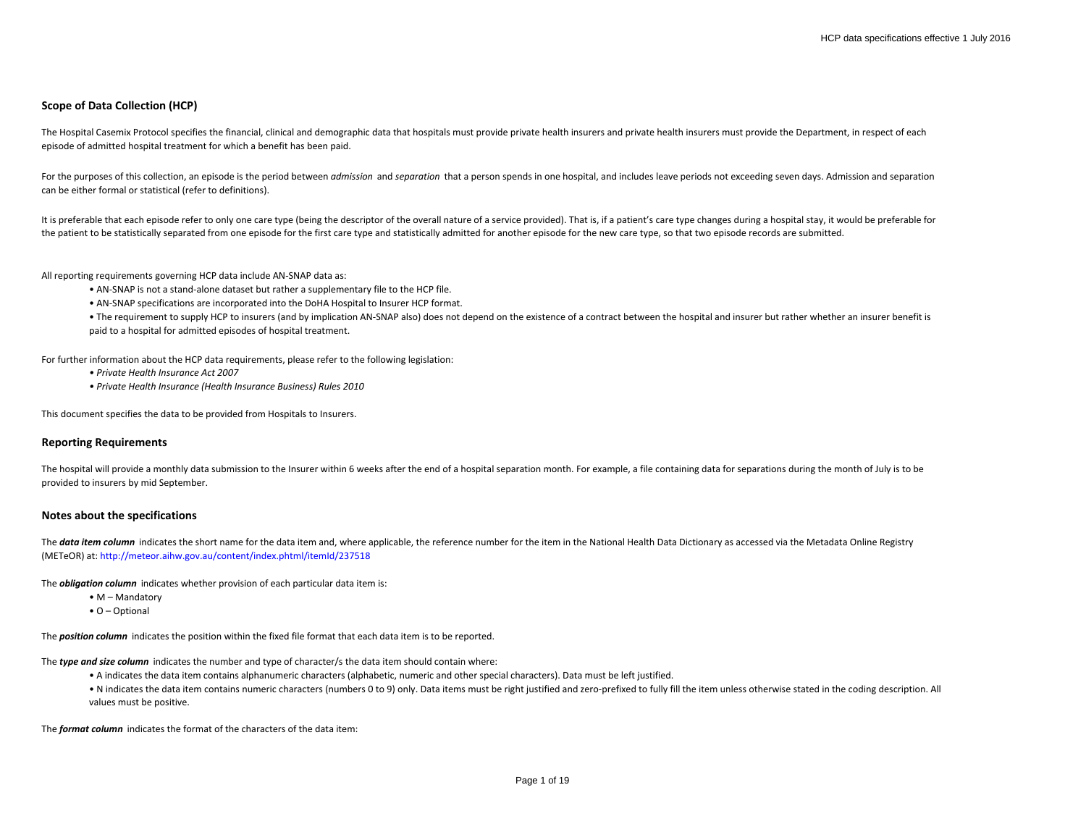# **Scope of Data Collection (HCP)**

The Hospital Casemix Protocol specifies the financial, clinical and demographic data that hospitals must provide private health insurers and private health insurers must provide the Department, in respect of each episode of admitted hospital treatment for which a benefit has been paid.

For the purposes of this collection, an episode is the period between *admission* and *separation* that a person spends in one hospital, and includes leave periods not exceeding seven days. Admission and separation can be either formal or statistical (refer to definitions).

It is preferable that each episode refer to only one care type (being the descriptor of the overall nature of a service provided). That is, if a patient's care type changes during a hospital stay, it would be preferable fo the patient to be statistically separated from one episode for the first care type and statistically admitted for another episode for the new care type, so that two episode records are submitted.

All reporting requirements governing HCP data include AN-SNAP data as:

- AN-SNAP is not a stand-alone dataset but rather a supplementary file to the HCP file.
- AN-SNAP specifications are incorporated into the DoHA Hospital to Insurer HCP format.

• The requirement to supply HCP to insurers (and by implication AN-SNAP also) does not depend on the existence of a contract between the hospital and insurer but rather whether an insurer benefit is paid to a hospital for admitted episodes of hospital treatment.

For further information about the HCP data requirements, please refer to the following legislation:

- *Private Health Insurance Act 2007*
- *Private Health Insurance (Health Insurance Business) Rules 2010*

This document specifies the data to be provided from Hospitals to Insurers.

# **Reporting Requirements**

The hospital will provide a monthly data submission to the Insurer within 6 weeks after the end of a hospital separation month. For example, a file containing data for separations during the month of July is to be provided to insurers by mid September.

#### **Notes about the specifications**

The data item column indicates the short name for the data item and, where applicable, the reference number for the item in the National Health Data Dictionary as accessed via the Metadata Online Registry (METeOR) at: http://meteor.aihw.gov.au/content/index.phtml/itemId/237518

The *obligation column* indicates whether provision of each particular data item is:

- M Mandatory
- O Optional

The *position column* indicates the position within the fixed file format that each data item is to be reported.

The *type and size column* indicates the number and type of character/s the data item should contain where:

- A indicates the data item contains alphanumeric characters (alphabetic, numeric and other special characters). Data must be left justified.
- N indicates the data item contains numeric characters (numbers 0 to 9) only. Data items must be right justified and zero-prefixed to fully fill the item unless otherwise stated in the coding description. All values must be positive.

The *format column* indicates the format of the characters of the data item: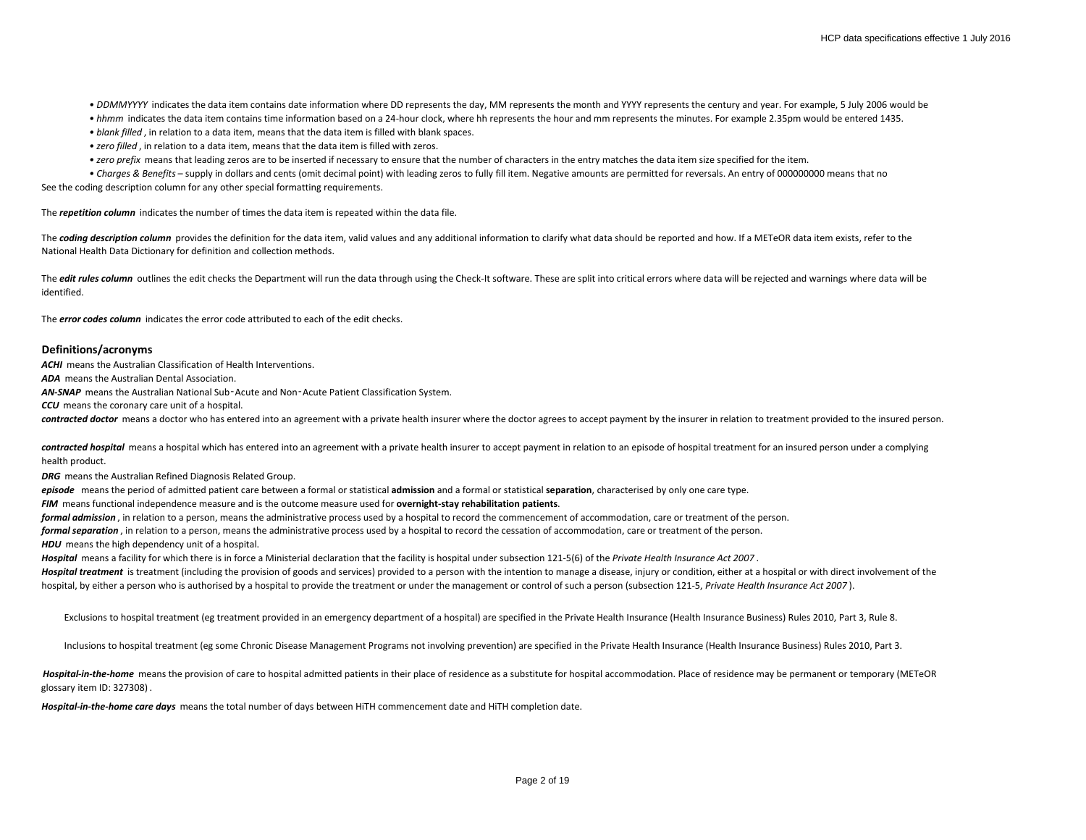• DDMMYYYY indicates the data item contains date information where DD represents the day, MM represents the month and YYYY represents the century and year. For example, 5 July 2006 would be

- *hhmm* indicates the data item contains time information based on a 24-hour clock, where hh represents the hour and mm represents the minutes. For example 2.35pm would be entered 1435.
- *blank filled* , in relation to a data item, means that the data item is filled with blank spaces.
- *zero filled* , in relation to a data item, means that the data item is filled with zeros.
- *zero prefix* means that leading zeros are to be inserted if necessary to ensure that the number of characters in the entry matches the data item size specified for the item.
- Charges & Benefits supply in dollars and cents (omit decimal point) with leading zeros to fully fill item. Negative amounts are permitted for reversals. An entry of 000000000 means that no

See the coding description column for any other special formatting requirements.

The *repetition column* indicates the number of times the data item is repeated within the data file.

The **coding description column** provides the definition for the data item, valid values and any additional information to clarify what data should be reported and how. If a METeOR data item exists, refer to the National Health Data Dictionary for definition and collection methods.

The *edit rules column* outlines the edit checks the Department will run the data through using the Check-It software. These are split into critical errors where data will be rejected and warnings where data will be identified.

The *error codes column* indicates the error code attributed to each of the edit checks.

### **Definitions/acronyms**

**ACHI** means the Australian Classification of Health Interventions.

*ADA* means the Australian Dental Association.

*AN-SNAP* means the Australian National Sub‑Acute and Non‑Acute Patient Classification System.

**CCU** means the coronary care unit of a hospital.

contracted doctor means a doctor who has entered into an agreement with a private health insurer where the doctor agrees to accept payment by the insurer in relation to treatment provided to the insured person.

contracted hospital means a hospital which has entered into an agreement with a private health insurer to accept payment in relation to an episode of hospital treatment for an insured person under a complying health product.

*DRG* means the Australian Refined Diagnosis Related Group.

*episode* means the period of admitted patient care between a formal or statistical **admission** and a formal or statistical **separation**, characterised by only one care type.

*FIM* means functional independence measure and is the outcome measure used for **overnight-stay rehabilitation patients**.

*formal admission* , in relation to a person, means the administrative process used by a hospital to record the commencement of accommodation, care or treatment of the person.

*formal separation* , in relation to a person, means the administrative process used by a hospital to record the cessation of accommodation, care or treatment of the person.

**HDU** means the high dependency unit of a hospital.

*Hospital* means a facility for which there is in force a Ministerial declaration that the facility is hospital under subsection 121-5(6) of the *Private Health Insurance Act 2007* .

Hospital treatment is treatment (including the provision of goods and services) provided to a person with the intention to manage a disease, injury or condition, either at a hospital or with direct involvement of the hospital, by either a person who is authorised by a hospital to provide the treatment or under the management or control of such a person (subsection 121-5, *Private Health Insurance Act 2007* ).

Exclusions to hospital treatment (eg treatment provided in an emergency department of a hospital) are specified in the Private Health Insurance (Health Insurance Business) Rules 2010, Part 3, Rule 8.

Inclusions to hospital treatment (eg some Chronic Disease Management Programs not involving prevention) are specified in the Private Health Insurance (Health Insurance Business) Rules 2010, Part 3.

Hospital-in-the-home means the provision of care to hospital admitted patients in their place of residence as a substitute for hospital accommodation. Place of residence may be permanent or temporary (METeOR glossary item ID: 327308) .

*Hospital-in-the-home care days* means the total number of days between HiTH commencement date and HiTH completion date.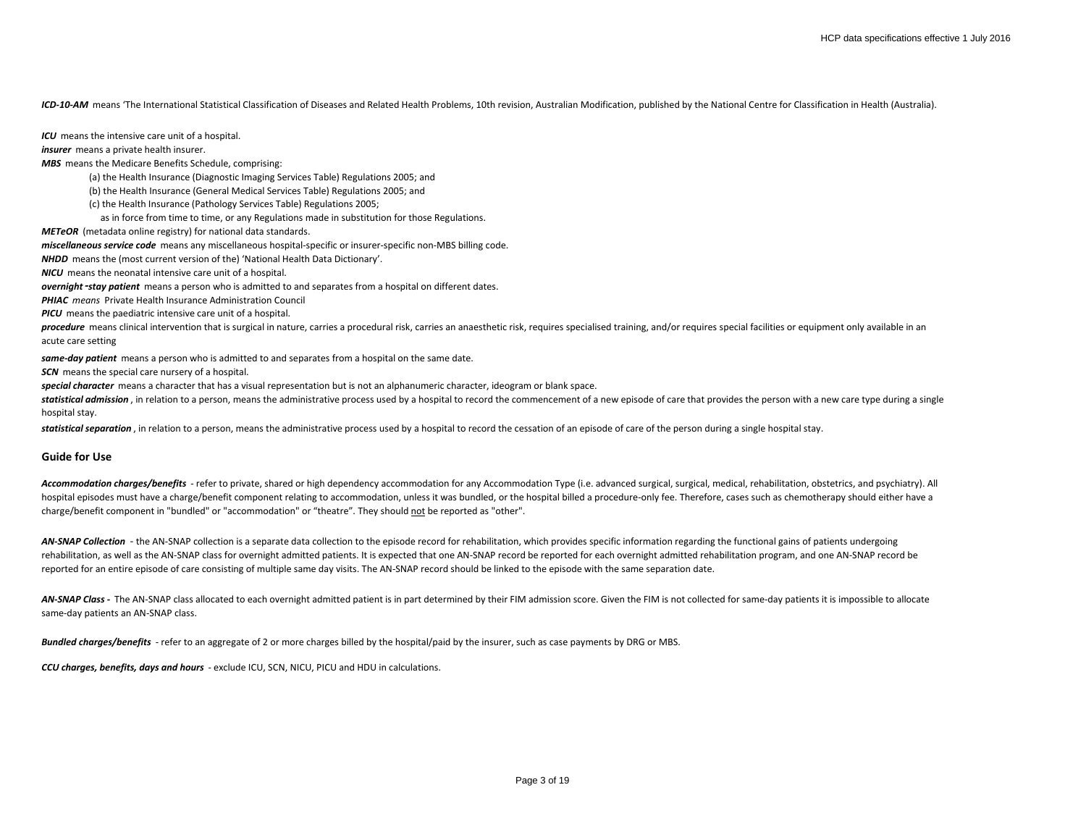*ICD-10-AM* means 'The International Statistical Classification of Diseases and Related Health Problems, 10th revision, Australian Modification, published by the National Centre for Classification in Health (Australia).

*ICU* means the intensive care unit of a hospital.

*insurer* means a private health insurer.

*MBS* means the Medicare Benefits Schedule, comprising:

(a) the Health Insurance (Diagnostic Imaging Services Table) Regulations 2005; and

(b) the Health Insurance (General Medical Services Table) Regulations 2005; and

(c) the Health Insurance (Pathology Services Table) Regulations 2005;

as in force from time to time, or any Regulations made in substitution for those Regulations.

*METeOR* (metadata online registry) for national data standards.

*miscellaneous service code* means any miscellaneous hospital-specific or insurer-specific non-MBS billing code.

*NHDD* means the (most current version of the) 'National Health Data Dictionary'.

*NICU* means the neonatal intensive care unit of a hospital.

*overnight*‑*stay patient* means a person who is admitted to and separates from a hospital on different dates.

*PHIAC means* Private Health Insurance Administration Council

*PICU* means the paediatric intensive care unit of a hospital.

procedure means clinical intervention that is surgical in nature, carries a procedural risk, carries an anaesthetic risk, requires specialised training, and/or requires special facilities or equipment only available in an acute care setting

*same-day patient* means a person who is admitted to and separates from a hospital on the same date.

**SCN** means the special care nursery of a hospital.

*special character* means a character that has a visual representation but is not an alphanumeric character, ideogram or blank space.

statistical admission, in relation to a person, means the administrative process used by a hospital to record the commencement of a new episode of care that provides the person with a new care type during a single hospital stay.

statistical separation, in relation to a person, means the administrative process used by a hospital to record the cessation of an episode of care of the person during a single hospital stay.

### **Guide for Use**

Accommodation charges/benefits - refer to private, shared or high dependency accommodation for any Accommodation Type (i.e. advanced surgical, surgical, medical, rehabilitation, obstetrics, and psychiatry). All hospital episodes must have a charge/benefit component relating to accommodation, unless it was bundled, or the hospital billed a procedure-only fee. Therefore, cases such as chemotherapy should either have a charge/benefit component in "bundled" or "accommodation" or "theatre". They should not be reported as "other".

AN-SNAP Collection - the AN-SNAP collection is a separate data collection to the episode record for rehabilitation, which provides specific information regarding the functional gains of patients undergoing rehabilitation, as well as the AN-SNAP class for overnight admitted patients. It is expected that one AN-SNAP record be reported for each overnight admitted rehabilitation program, and one AN-SNAP record be reported for an entire episode of care consisting of multiple same day visits. The AN-SNAP record should be linked to the episode with the same separation date.

AN-SNAP Class - The AN-SNAP class allocated to each overnight admitted patient is in part determined by their FIM admission score. Given the FIM is not collected for same-day patients it is impossible to allocate same-day patients an AN-SNAP class.

*Bundled charges/benefits* - refer to an aggregate of 2 or more charges billed by the hospital/paid by the insurer, such as case payments by DRG or MBS.

*CCU charges, benefits, days and hours* - exclude ICU, SCN, NICU, PICU and HDU in calculations.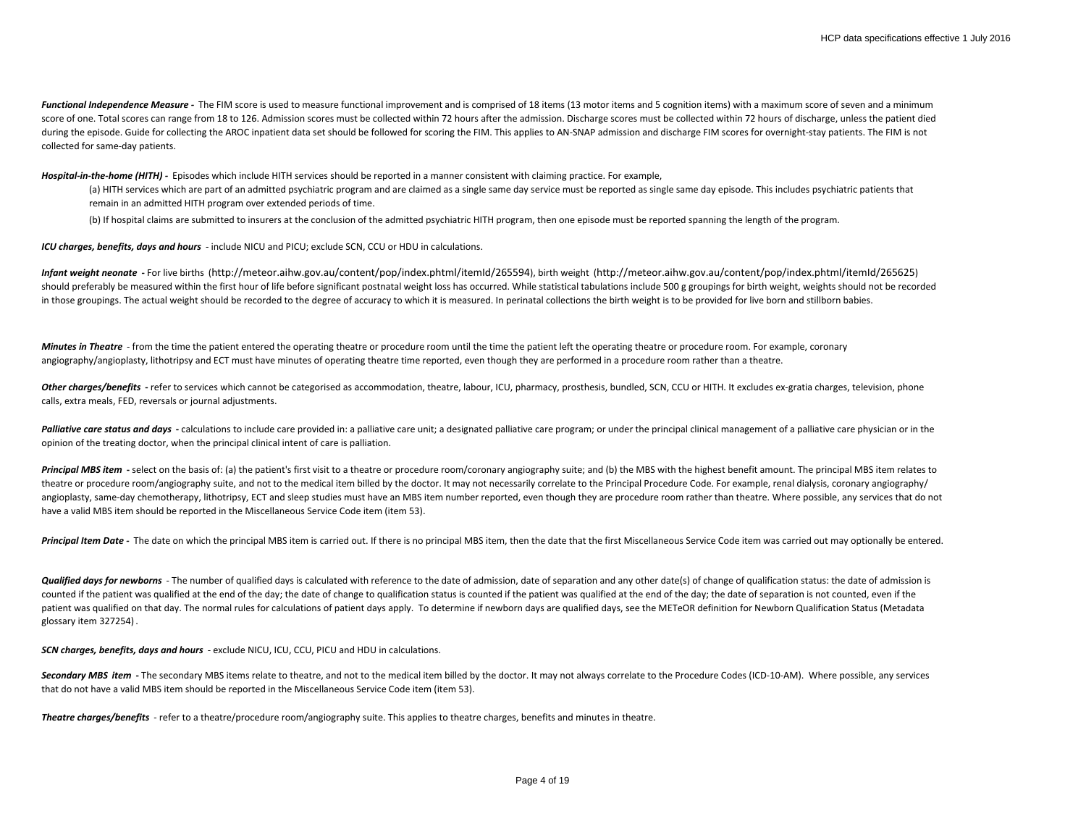Functional Independence Measure - The FIM score is used to measure functional improvement and is comprised of 18 items (13 motor items and 5 cognition items) with a maximum score of seven and a minimum score of one. Total scores can range from 18 to 126. Admission scores must be collected within 72 hours after the admission. Discharge scores must be collected within 72 hours of discharge, unless the patient died during the episode. Guide for collecting the AROC inpatient data set should be followed for scoring the FIM. This applies to AN-SNAP admission and discharge FIM scores for overnight-stay patients. The FIM is not collected for same-day patients.

*Hospital-in-the-home (HITH) -* Episodes which include HITH services should be reported in a manner consistent with claiming practice. For example,

(a) HITH services which are part of an admitted psychiatric program and are claimed as a single same day service must be reported as single same day episode. This includes psychiatric patients that remain in an admitted HITH program over extended periods of time.

(b) If hospital claims are submitted to insurers at the conclusion of the admitted psychiatric HITH program, then one episode must be reported spanning the length of the program.

*ICU charges, benefits, days and hours* - include NICU and PICU; exclude SCN, CCU or HDU in calculations.

*Infant weight neonate* **-** For live births (http://meteor.aihw.gov.au/content/pop/index.phtml/itemId/265594), birth weight (http://meteor.aihw.gov.au/content/pop/index.phtml/itemId/265625) should preferably be measured within the first hour of life before significant postnatal weight loss has occurred. While statistical tabulations include 500 g groupings for birth weight, weights should not be recorded in those groupings. The actual weight should be recorded to the degree of accuracy to which it is measured. In perinatal collections the birth weight is to be provided for live born and stillborn babies.

Minutes in Theatre - from the time the patient entered the operating theatre or procedure room until the time the patient left the operating theatre or procedure room. For example, coronary angiography/angioplasty, lithotripsy and ECT must have minutes of operating theatre time reported, even though they are performed in a procedure room rather than a theatre.

Other charges/benefits - refer to services which cannot be categorised as accommodation, theatre, labour, ICU, pharmacy, prosthesis, bundled, SCN, CCU or HITH. It excludes ex-gratia charges, television, phone calls, extra meals, FED, reversals or journal adjustments.

Palliative care status and days - calculations to include care provided in: a palliative care unit; a designated palliative care program; or under the principal clinical management of a palliative care physician or in the opinion of the treating doctor, when the principal clinical intent of care is palliation.

Principal MBS item - select on the basis of: (a) the patient's first visit to a theatre or procedure room/coronary angiography suite; and (b) the MBS with the highest benefit amount. The principal MBS item relates to theatre or procedure room/angiography suite, and not to the medical item billed by the doctor. It may not necessarily correlate to the Principal Procedure Code. For example, renal dialysis, coronary angiography/ angioplasty, same-day chemotherapy, lithotripsy, ECT and sleep studies must have an MBS item number reported, even though they are procedure room rather than theatre. Where possible, any services that do not have a valid MBS item should be reported in the Miscellaneous Service Code item (item 53).

Principal Item Date - The date on which the principal MBS item is carried out. If there is no principal MBS item, then the date that the first Miscellaneous Service Code item was carried out may optionally be entered.

**Qualified days for newborns** - The number of qualified days is calculated with reference to the date of admission, date of separation and any other date(s) of change of qualification status: the date of admission is counted if the patient was qualified at the end of the day; the date of change to qualification status is counted if the patient was qualified at the end of the day; the date of separation is not counted, even if the patient was qualified on that day. The normal rules for calculations of patient days apply. To determine if newborn days are qualified days, see the METeOR definition for Newborn Qualification Status (Metadata glossary item 327254) .

*SCN charges, benefits, days and hours* - exclude NICU, ICU, CCU, PICU and HDU in calculations.

Secondary MBS item - The secondary MBS items relate to theatre, and not to the medical item billed by the doctor. It may not always correlate to the Procedure Codes (ICD-10-AM). Where possible, any services that do not have a valid MBS item should be reported in the Miscellaneous Service Code item (item 53).

*Theatre charges/benefits* - refer to a theatre/procedure room/angiography suite. This applies to theatre charges, benefits and minutes in theatre.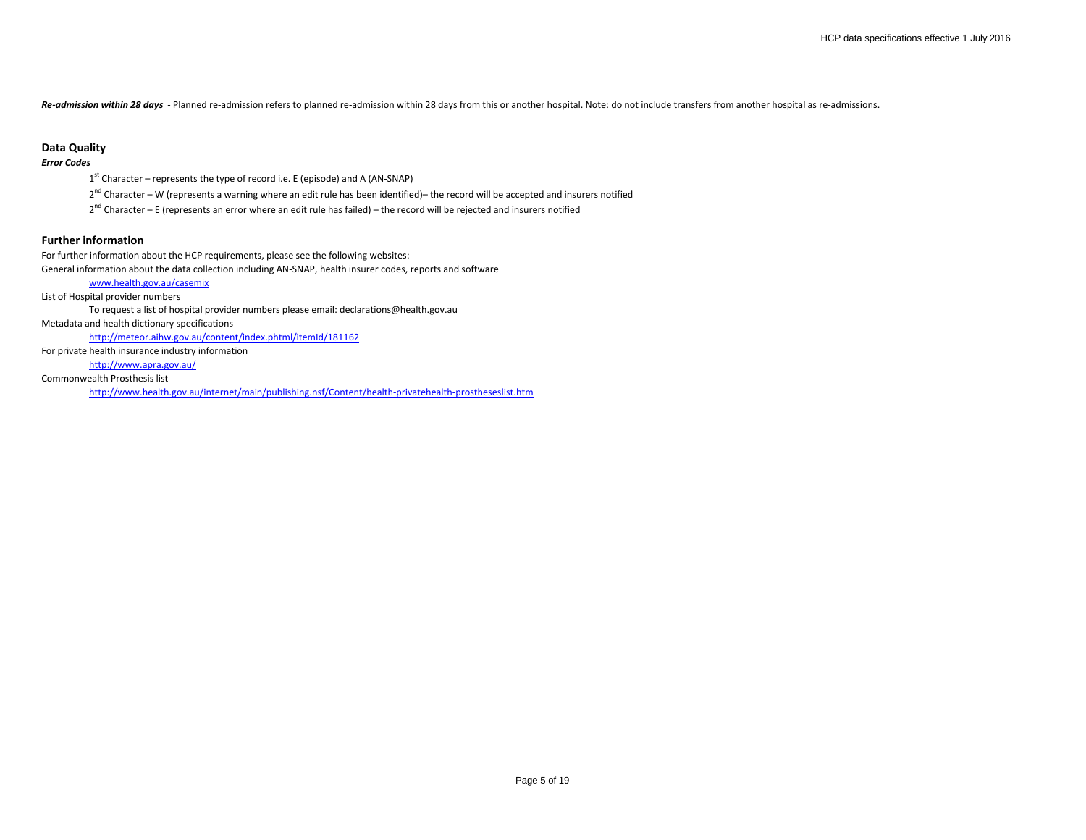*Re-admission within 28 days* - Planned re-admission refers to planned re-admission within 28 days from this or another hospital. Note: do not include transfers from another hospital as re-admissions.

### **Data Quality**

## *Error Codes*

- $1<sup>st</sup>$  Character represents the type of record i.e. E (episode) and A (AN-SNAP)
- 2<sup>nd</sup> Character W (represents a warning where an edit rule has been identified)– the record will be accepted and insurers notified
- $2^{nd}$  Character E (represents an error where an edit rule has failed) the record will be rejected and insurers notified

# **Further information**

For further information about the HCP requirements, please see the following websites: General information about the data collection including AN-SNAP, health insurer codes, reports and software [www.health.gov.au/casemix](http://www.health.gov.au/casemix) List of Hospital provider numbers To request a list of hospital provider numbers please email: declarations@health.gov.au Metadata and health dictionary specifications <http://meteor.aihw.gov.au/content/index.phtml/itemId/181162> For private health insurance industry information [http://www.apra.gov.au/](http://www.phiac.gov.au/)

Commonwealth Prosthesis list

<http://www.health.gov.au/internet/main/publishing.nsf/Content/health-privatehealth-prostheseslist.htm>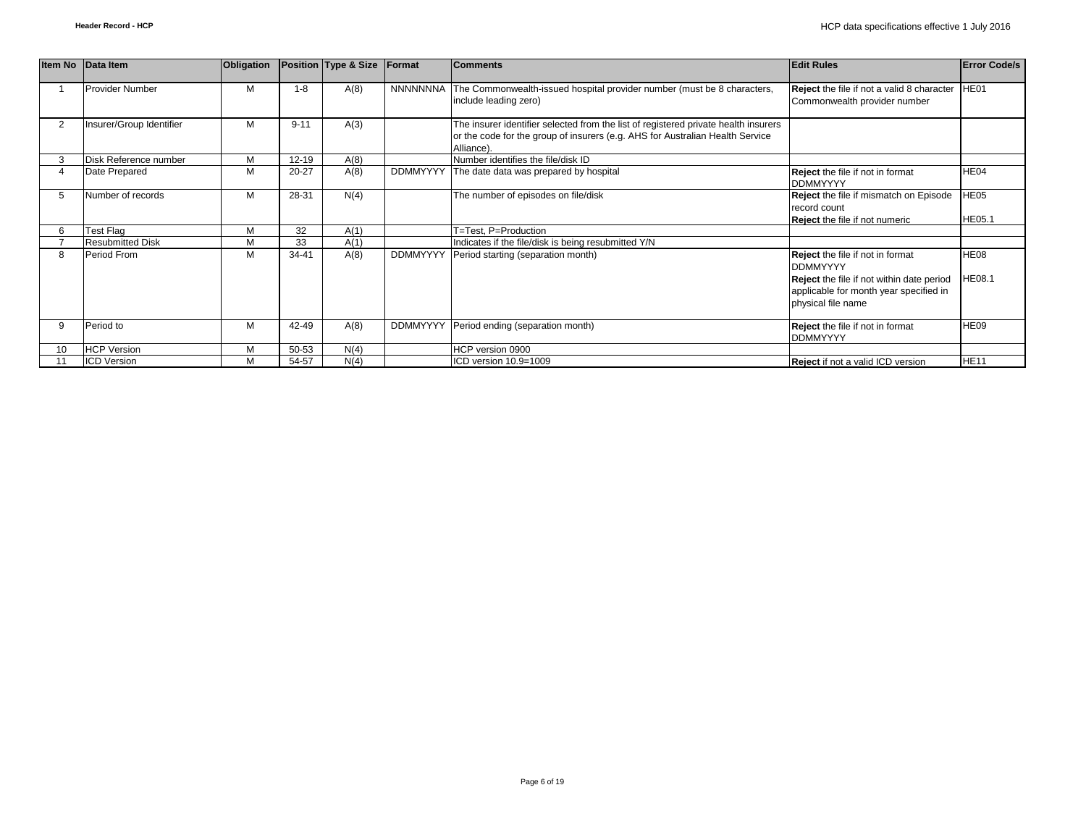|                | Item No Data Item        | Obligation |           | Position Type & Size | Format          | <b>Comments</b>                                                                                                                                                                    | <b>Edit Rules</b>                                                                                                                                                       | <b>Error Code/s</b> |
|----------------|--------------------------|------------|-----------|----------------------|-----------------|------------------------------------------------------------------------------------------------------------------------------------------------------------------------------------|-------------------------------------------------------------------------------------------------------------------------------------------------------------------------|---------------------|
|                | <b>Provider Number</b>   | M          | $1 - 8$   | A(8)                 |                 | NNNNNNNA The Commonwealth-issued hospital provider number (must be 8 characters,<br>include leading zero)                                                                          | <b>Reject</b> the file if not a valid 8 character<br>Commonwealth provider number                                                                                       | HE01                |
| $\overline{2}$ | Insurer/Group Identifier | М          | $9 - 11$  | A(3)                 |                 | The insurer identifier selected from the list of registered private health insurers<br>or the code for the group of insurers (e.g. AHS for Australian Health Service<br>Alliance). |                                                                                                                                                                         |                     |
|                | Disk Reference number    | M          | 12-19     | A(8)                 |                 | Number identifies the file/disk ID                                                                                                                                                 |                                                                                                                                                                         |                     |
|                | Date Prepared            | M          | $20 - 27$ | A(8)                 |                 | DDMMYYYY The date data was prepared by hospital                                                                                                                                    | Reject the file if not in format<br><b>DDMMYYYY</b>                                                                                                                     | HE04                |
|                | Number of records        | М          | 28-31     | N(4)                 |                 | The number of episodes on file/disk                                                                                                                                                | Reject the file if mismatch on Episode<br>record count<br><b>Reject</b> the file if not numeric                                                                         | H E05<br>HE05.1     |
|                | Test Flag                | M          | 32        | A(1)                 |                 | T=Test. P=Production                                                                                                                                                               |                                                                                                                                                                         |                     |
|                | <b>Resubmitted Disk</b>  | M          | 33        | A(1)                 |                 | Indicates if the file/disk is being resubmitted Y/N                                                                                                                                |                                                                                                                                                                         |                     |
| 8              | Period From              | M          | 34-41     | A(8)                 | <b>DDMMYYYY</b> | Period starting (separation month)                                                                                                                                                 | <b>Reject</b> the file if not in format<br><b>DDMMYYYY</b><br>Reject the file if not within date period<br>applicable for month year specified in<br>physical file name | HE08<br>HE08.1      |
|                | Period to                | M          | 42-49     | A(8)                 | <b>DDMMYYYY</b> | Period ending (separation month)                                                                                                                                                   | <b>Reject</b> the file if not in format<br><b>DDMMYYYY</b>                                                                                                              | <b>HE09</b>         |
| 10             | <b>HCP Version</b>       | М          | 50-53     | N(4)                 |                 | HCP version 0900                                                                                                                                                                   |                                                                                                                                                                         |                     |
|                | <b>ICD Version</b>       | М          | 54-57     | N(4)                 |                 | ICD version 10.9=1009                                                                                                                                                              | Reject if not a valid ICD version                                                                                                                                       | <b>HE11</b>         |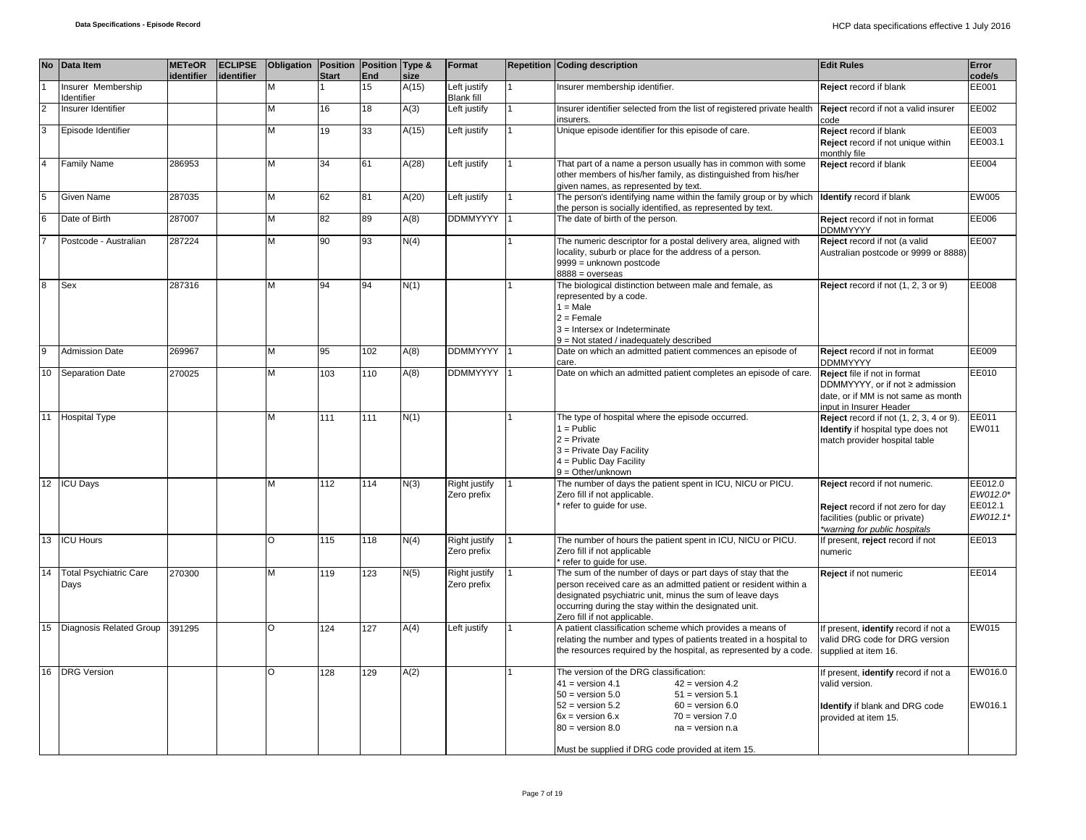|    | No Data Item                      | <b>METeOR</b><br>identifier | <b>ECLIPSE</b><br>identifier | Obligation Position Position Type & | <b>Start</b>    | End | size  | Format                            | <b>Repetition Coding description</b>                                                                                                                                                                                                                                                                                            | <b>Edit Rules</b>                                                                                                                     | Error<br>code/s                            |
|----|-----------------------------------|-----------------------------|------------------------------|-------------------------------------|-----------------|-----|-------|-----------------------------------|---------------------------------------------------------------------------------------------------------------------------------------------------------------------------------------------------------------------------------------------------------------------------------------------------------------------------------|---------------------------------------------------------------------------------------------------------------------------------------|--------------------------------------------|
|    | Insurer Membership<br>Identifier  |                             |                              | М                                   |                 | 15  | A(15) | Left justify<br><b>Blank fill</b> | Insurer membership identifier.                                                                                                                                                                                                                                                                                                  | Reject record if blank                                                                                                                | EE001                                      |
|    | Insurer Identifier                |                             |                              | М                                   | 16              | 18  | A(3)  | Left justify                      | Insurer identifier selected from the list of registered private health<br>insurers.                                                                                                                                                                                                                                             | Reject record if not a valid insurer<br>code                                                                                          | EE002                                      |
|    | Episode Identifier                |                             |                              | М                                   | 19              | 33  | A(15) | Left justify                      | Unique episode identifier for this episode of care.                                                                                                                                                                                                                                                                             | Reject record if blank<br>Reject record if not unique within<br>monthly file                                                          | EE003<br>EE003.1                           |
|    | <b>Family Name</b>                | 286953                      |                              | M                                   | 34              | 61  | A(28) | Left justify                      | That part of a name a person usually has in common with some<br>other members of his/her family, as distinguished from his/her<br>given names, as represented by text.                                                                                                                                                          | Reject record if blank                                                                                                                | EE004                                      |
|    | Given Name                        | 287035                      |                              | М                                   | 62              | 81  | A(20) | Left justify                      | The person's identifying name within the family group or by which<br>the person is socially identified, as represented by text.                                                                                                                                                                                                 | <b>Identify</b> record if blank                                                                                                       | EW005                                      |
|    | Date of Birth                     | 287007                      |                              | M                                   | $\overline{82}$ | 89  | A(8)  | <b>DDMMYYYY</b>                   | The date of birth of the person.                                                                                                                                                                                                                                                                                                | Reject record if not in format<br><b>DDMMYYYY</b>                                                                                     | EE006                                      |
|    | Postcode - Australian             | 287224                      |                              | м                                   | 90              | 93  | N(4)  |                                   | The numeric descriptor for a postal delivery area, aligned with<br>locality, suburb or place for the address of a person.<br>9999 = unknown postcode<br>$8888 = 0$ verseas                                                                                                                                                      | Reject record if not (a valid<br>Australian postcode or 9999 or 8888)                                                                 | EE007                                      |
|    | Sex                               | 287316                      |                              | M                                   | 94              | 94  | N(1)  |                                   | The biological distinction between male and female, as<br>represented by a code.<br>$1 = Male$<br>$2 =$ Female<br>$3 =$ Intersex or Indeterminate<br>$9 = Not stated / inadequately described$                                                                                                                                  | Reject record if not (1, 2, 3 or 9)                                                                                                   | EE008                                      |
| 9  | <b>Admission Date</b>             | 269967                      |                              | M                                   | 95              | 102 | A(8)  | DDMMYYYY 1                        | Date on which an admitted patient commences an episode of<br>care.                                                                                                                                                                                                                                                              | Reject record if not in format<br><b>DDMMYYYY</b>                                                                                     | EE009                                      |
| 10 | <b>Separation Date</b>            | 270025                      |                              | м                                   | 103             | 110 | A(8)  | DDMMYYYY                          | Date on which an admitted patient completes an episode of care.                                                                                                                                                                                                                                                                 | Reject file if not in format<br>DDMMYYYY, or if not ≥ admission<br>date, or if MM is not same as month<br>nput in Insurer Header      | EE010                                      |
|    | 11 Hospital Type                  |                             |                              | м                                   | 111             | 111 | N(1)  |                                   | The type of hospital where the episode occurred.<br>$1 =$ Public<br>$2 =$ Private<br>3 = Private Day Facility<br>$4 =$ Public Day Facility<br>$9 = Other/unknown$                                                                                                                                                               | Reject record if not (1, 2, 3, 4 or 9).<br>Identify if hospital type does not<br>natch provider hospital table                        | <b>EE011</b><br>EW011                      |
|    | 12 ICU Days                       |                             |                              | M                                   | 112             | 114 | N(3)  | Right justify<br>Zero prefix      | The number of days the patient spent in ICU, NICU or PICU.<br>Zero fill if not applicable.<br>refer to guide for use.                                                                                                                                                                                                           | Reject record if not numeric.<br>Reject record if not zero for day<br>facilities (public or private)<br>*warning for public hospitals | EE012.0<br>EW012.0*<br>EE012.1<br>EW012.1* |
|    | 13 <b>ICU Hours</b>               |                             |                              | O                                   | 115             | 118 | N(4)  | Right justify<br>Zero prefix      | The number of hours the patient spent in ICU, NICU or PICU.<br>Zero fill if not applicable<br>refer to quide for use.                                                                                                                                                                                                           | f present, reject record if not<br>numeric                                                                                            | EE013                                      |
|    | 14 Total Psychiatric Care<br>Days | 270300                      |                              | M                                   | 119             | 123 | N(5)  | Right justify<br>Zero prefix      | The sum of the number of days or part days of stay that the<br>person received care as an admitted patient or resident within a<br>designated psychiatric unit, minus the sum of leave days<br>occurring during the stay within the designated unit.<br>Zero fill if not applicable.                                            | Reject if not numeric                                                                                                                 | EE014                                      |
| 15 | Diagnosis Related Group 391295    |                             |                              | $\circ$                             | 124             | 127 | A(4)  | Left justify                      | A patient classification scheme which provides a means of<br>relating the number and types of patients treated in a hospital to<br>the resources required by the hospital, as represented by a code.                                                                                                                            | f present, identify record if not a<br>valid DRG code for DRG version<br>supplied at item 16.                                         | <b>EW015</b>                               |
|    | 16 DRG Version                    |                             |                              | O                                   | 128             | 129 | A(2)  |                                   | The version of the DRG classification:<br>$41 = version 4.1$<br>$42 =$ version 4.2<br>$51 =$ version $5.1$<br>$50 =$ version $5.0$<br>$52 = version 5.2$<br>$60 =$ version $6.0$<br>$6x = version 6.x$<br>$70 = version 7.0$<br>$80 =$ version $8.0$<br>$na = version n.a$<br>Must be supplied if DRG code provided at item 15. | f present, identify record if not a<br>valid version.<br><b>Identify</b> if blank and DRG code<br>provided at item 15.                | EW016.0<br>EW016.1                         |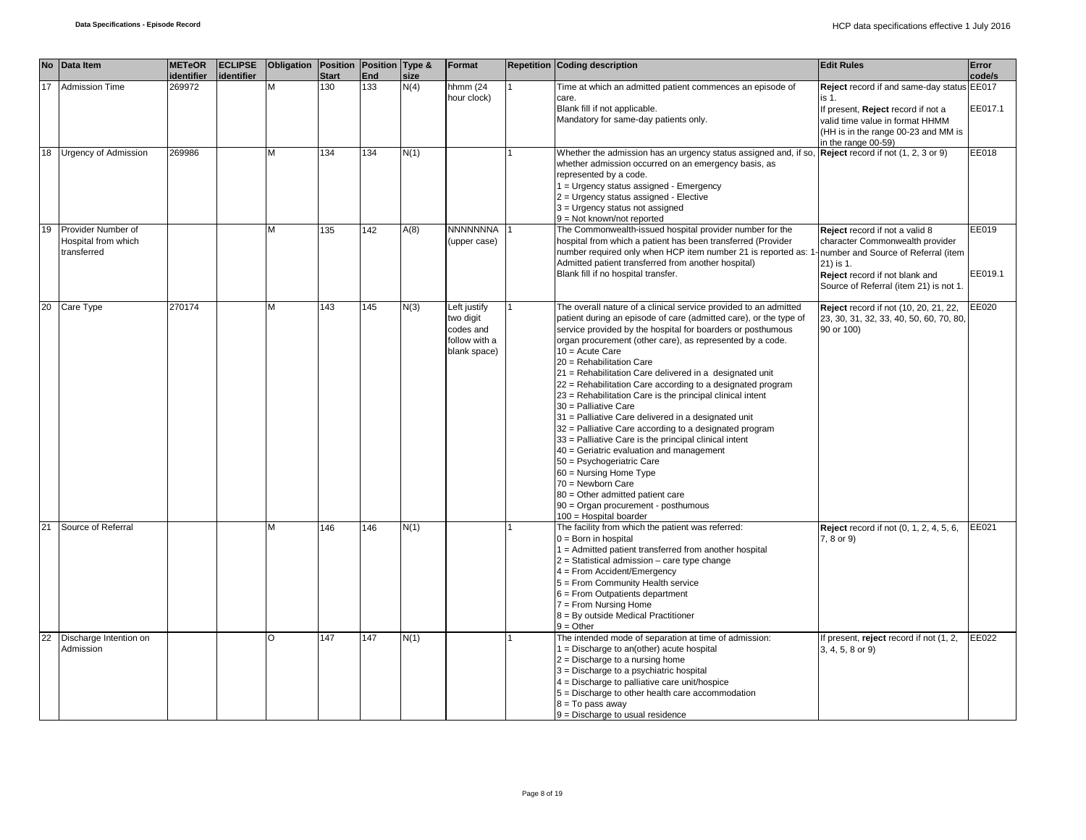|    | No Data Item                       | <b>METeOR</b>     |            | <b>ECLIPSE</b> Obligation Position Position Type & |              |     |      | Format                  | <b>Repetition Coding description</b>                                                                                  | <b>Edit Rules</b>                                                        | Error   |
|----|------------------------------------|-------------------|------------|----------------------------------------------------|--------------|-----|------|-------------------------|-----------------------------------------------------------------------------------------------------------------------|--------------------------------------------------------------------------|---------|
|    |                                    | <i>identifier</i> | identifier |                                                    | <b>Start</b> | End | size |                         |                                                                                                                       |                                                                          | code/s  |
| 17 | <b>Admission Time</b>              | 269972            |            | M                                                  | 130          | 133 | N(4) | hhmm (24<br>hour clock) | Time at which an admitted patient commences an episode of<br>care.                                                    | Reject record if and same-day status EE017<br>is 1.                      |         |
|    |                                    |                   |            |                                                    |              |     |      |                         | Blank fill if not applicable.                                                                                         | If present, Reject record if not a                                       | EE017.1 |
|    |                                    |                   |            |                                                    |              |     |      |                         | Mandatory for same-day patients only.                                                                                 | valid time value in format HHMM                                          |         |
|    |                                    |                   |            |                                                    |              |     |      |                         |                                                                                                                       | (HH is in the range 00-23 and MM is                                      |         |
|    |                                    |                   |            |                                                    |              |     |      |                         |                                                                                                                       | in the range 00-59)                                                      |         |
| 18 | <b>Urgency of Admission</b>        | 269986            |            | M                                                  | 134          | 134 | N(1) |                         | Whether the admission has an urgency status assigned and, if so,                                                      | Reject record if not (1, 2, 3 or 9)                                      | EE018   |
|    |                                    |                   |            |                                                    |              |     |      |                         | whether admission occurred on an emergency basis, as                                                                  |                                                                          |         |
|    |                                    |                   |            |                                                    |              |     |      |                         | represented by a code.                                                                                                |                                                                          |         |
|    |                                    |                   |            |                                                    |              |     |      |                         | 1 = Urgency status assigned - Emergency                                                                               |                                                                          |         |
|    |                                    |                   |            |                                                    |              |     |      |                         | 2 = Urgency status assigned - Elective                                                                                |                                                                          |         |
|    |                                    |                   |            |                                                    |              |     |      |                         | $3$ = Urgency status not assigned                                                                                     |                                                                          |         |
|    |                                    |                   |            |                                                    |              |     |      |                         | $9 = Not$ known/not reported                                                                                          |                                                                          |         |
| 19 | Provider Number of                 |                   |            | M                                                  | 135          | 142 | A(8) | <b>NNNNNNNA</b>         | The Commonwealth-issued hospital provider number for the                                                              | Reject record if not a valid 8                                           | EE019   |
|    | Hospital from which<br>transferred |                   |            |                                                    |              |     |      | (upper case)            | hospital from which a patient has been transferred (Provider                                                          | character Commonwealth provider                                          |         |
|    |                                    |                   |            |                                                    |              |     |      |                         | number required only when HCP item number 21 is reported as: 1<br>Admitted patient transferred from another hospital) | number and Source of Referral (item<br>21) is 1.                         |         |
|    |                                    |                   |            |                                                    |              |     |      |                         | Blank fill if no hospital transfer.                                                                                   |                                                                          | EE019.1 |
|    |                                    |                   |            |                                                    |              |     |      |                         |                                                                                                                       | Reject record if not blank and<br>Source of Referral (item 21) is not 1. |         |
|    |                                    |                   |            |                                                    |              |     |      |                         |                                                                                                                       |                                                                          |         |
| 20 | Care Type                          | 270174            |            | M                                                  | 143          | 145 | N(3) | Left justify            | The overall nature of a clinical service provided to an admitted                                                      | Reject record if not (10, 20, 21, 22,                                    | EE020   |
|    |                                    |                   |            |                                                    |              |     |      | two digit               | patient during an episode of care (admitted care), or the type of                                                     | 23, 30, 31, 32, 33, 40, 50, 60, 70, 80,                                  |         |
|    |                                    |                   |            |                                                    |              |     |      | codes and               | service provided by the hospital for boarders or posthumous                                                           | 90 or 100)                                                               |         |
|    |                                    |                   |            |                                                    |              |     |      | follow with a           | organ procurement (other care), as represented by a code.                                                             |                                                                          |         |
|    |                                    |                   |            |                                                    |              |     |      | blank space)            | 10 = Acute Care                                                                                                       |                                                                          |         |
|    |                                    |                   |            |                                                    |              |     |      |                         | 20 = Rehabilitation Care                                                                                              |                                                                          |         |
|    |                                    |                   |            |                                                    |              |     |      |                         | 21 = Rehabilitation Care delivered in a designated unit                                                               |                                                                          |         |
|    |                                    |                   |            |                                                    |              |     |      |                         | 22 = Rehabilitation Care according to a designated program                                                            |                                                                          |         |
|    |                                    |                   |            |                                                    |              |     |      |                         | 23 = Rehabilitation Care is the principal clinical intent                                                             |                                                                          |         |
|    |                                    |                   |            |                                                    |              |     |      |                         | 30 = Palliative Care                                                                                                  |                                                                          |         |
|    |                                    |                   |            |                                                    |              |     |      |                         | 31 = Palliative Care delivered in a designated unit                                                                   |                                                                          |         |
|    |                                    |                   |            |                                                    |              |     |      |                         | 32 = Palliative Care according to a designated program                                                                |                                                                          |         |
|    |                                    |                   |            |                                                    |              |     |      |                         | 33 = Palliative Care is the principal clinical intent                                                                 |                                                                          |         |
|    |                                    |                   |            |                                                    |              |     |      |                         | 40 = Geriatric evaluation and management                                                                              |                                                                          |         |
|    |                                    |                   |            |                                                    |              |     |      |                         | 50 = Psychogeriatric Care                                                                                             |                                                                          |         |
|    |                                    |                   |            |                                                    |              |     |      |                         | 60 = Nursing Home Type                                                                                                |                                                                          |         |
|    |                                    |                   |            |                                                    |              |     |      |                         | $70 =$ Newborn Care                                                                                                   |                                                                          |         |
|    |                                    |                   |            |                                                    |              |     |      |                         | 80 = Other admitted patient care<br>90 = Organ procurement - posthumous                                               |                                                                          |         |
|    |                                    |                   |            |                                                    |              |     |      |                         | 100 = Hospital boarder                                                                                                |                                                                          |         |
| 21 | Source of Referral                 |                   |            | M                                                  | 146          | 146 | N(1) |                         | The facility from which the patient was referred:                                                                     | <b>Reject</b> record if not (0, 1, 2, 4, 5, 6,                           | EE021   |
|    |                                    |                   |            |                                                    |              |     |      |                         | $0 = Born$ in hospital                                                                                                | 7, 8 or 9)                                                               |         |
|    |                                    |                   |            |                                                    |              |     |      |                         | 1 = Admitted patient transferred from another hospital                                                                |                                                                          |         |
|    |                                    |                   |            |                                                    |              |     |      |                         | $2$ = Statistical admission – care type change                                                                        |                                                                          |         |
|    |                                    |                   |            |                                                    |              |     |      |                         | $4 =$ From Accident/Emergency                                                                                         |                                                                          |         |
|    |                                    |                   |            |                                                    |              |     |      |                         | 5 = From Community Health service                                                                                     |                                                                          |         |
|    |                                    |                   |            |                                                    |              |     |      |                         | $6$ = From Outpatients department                                                                                     |                                                                          |         |
|    |                                    |                   |            |                                                    |              |     |      |                         | $7 =$ From Nursing Home                                                                                               |                                                                          |         |
|    |                                    |                   |            |                                                    |              |     |      |                         | 8 = By outside Medical Practitioner                                                                                   |                                                                          |         |
| 22 | Discharge Intention on             |                   |            | O                                                  |              | 147 |      |                         | $9 = Other$<br>The intended mode of separation at time of admission:                                                  |                                                                          | EE022   |
|    | Admission                          |                   |            |                                                    | 147          |     | N(1) |                         | $1 =$ Discharge to an(other) acute hospital                                                                           | If present, reject record if not (1, 2,                                  |         |
|    |                                    |                   |            |                                                    |              |     |      |                         | $2 =$ Discharge to a nursing home                                                                                     | 3, 4, 5, 8 or 9)                                                         |         |
|    |                                    |                   |            |                                                    |              |     |      |                         | 3 = Discharge to a psychiatric hospital                                                                               |                                                                          |         |
|    |                                    |                   |            |                                                    |              |     |      |                         | $4 =$ Discharge to palliative care unit/hospice                                                                       |                                                                          |         |
|    |                                    |                   |            |                                                    |              |     |      |                         | 5 = Discharge to other health care accommodation                                                                      |                                                                          |         |
|    |                                    |                   |            |                                                    |              |     |      |                         | $8 = To pass away$                                                                                                    |                                                                          |         |
|    |                                    |                   |            |                                                    |              |     |      |                         | $9$ = Discharge to usual residence                                                                                    |                                                                          |         |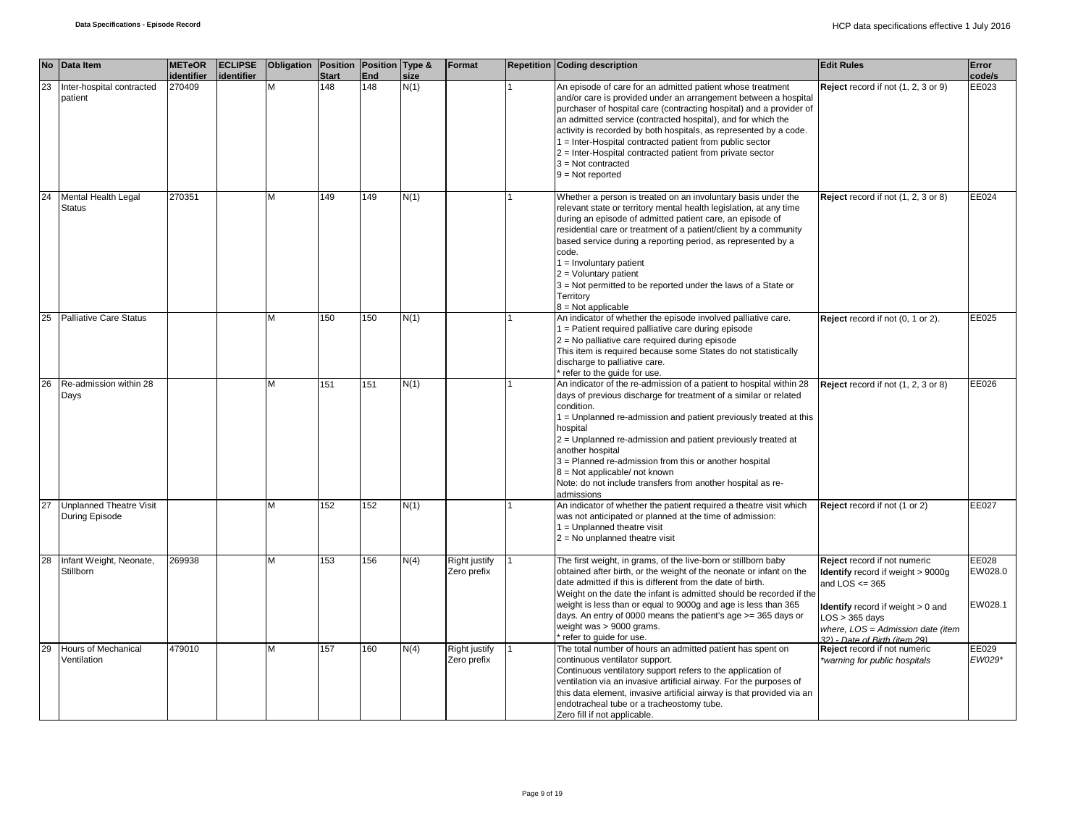|    | No Data Item                                     | <b>METeOR</b>        | <b>ECLIPSE</b> | Obligation   Position   Position   Type & |                     |            |              | Format                       | <b>Repetition Coding description</b>                                                                                                                                                                                                                                                                                                                                                                                                                                                                             | <b>Edit Rules</b>                                                                                                                                                                                                             | Error                       |
|----|--------------------------------------------------|----------------------|----------------|-------------------------------------------|---------------------|------------|--------------|------------------------------|------------------------------------------------------------------------------------------------------------------------------------------------------------------------------------------------------------------------------------------------------------------------------------------------------------------------------------------------------------------------------------------------------------------------------------------------------------------------------------------------------------------|-------------------------------------------------------------------------------------------------------------------------------------------------------------------------------------------------------------------------------|-----------------------------|
| 23 | Inter-hospital contracted<br>patient             | identifier<br>270409 | identifier     |                                           | <b>Start</b><br>148 | End<br>148 | size<br>N(1) |                              | An episode of care for an admitted patient whose treatment<br>and/or care is provided under an arrangement between a hospital<br>purchaser of hospital care (contracting hospital) and a provider of<br>an admitted service (contracted hospital), and for which the<br>activity is recorded by both hospitals, as represented by a code.<br>1 = Inter-Hospital contracted patient from public sector<br>2 = Inter-Hospital contracted patient from private sector<br>$3 = Not contracted$<br>$9 = Not reported$ | Reject record if not (1, 2, 3 or 9)                                                                                                                                                                                           | code/s<br>EE023             |
| 24 | Mental Health Legal<br><b>Status</b>             | 270351               |                | м                                         | 149                 | 149        | N(1)         |                              | Whether a person is treated on an involuntary basis under the<br>relevant state or territory mental health legislation, at any time<br>during an episode of admitted patient care, an episode of<br>residential care or treatment of a patient/client by a community<br>based service during a reporting period, as represented by a<br>code.<br>$1 =$ Involuntary patient<br>$2 =$ Voluntary patient<br>3 = Not permitted to be reported under the laws of a State or<br>Territory<br>8 = Not applicable        | Reject record if not (1, 2, 3 or 8)                                                                                                                                                                                           | EE024                       |
| 25 | <b>Palliative Care Status</b>                    |                      |                | M                                         | 150                 | 150        | N(1)         |                              | An indicator of whether the episode involved palliative care.<br>1 = Patient required palliative care during episode<br>$2$ = No palliative care required during episode<br>This item is required because some States do not statistically<br>discharge to palliative care.<br>* refer to the quide for use.                                                                                                                                                                                                     | Reject record if not (0, 1 or 2).                                                                                                                                                                                             | EE025                       |
| 26 | Re-admission within 28<br>Days                   |                      |                | M                                         | 151                 | 151        | N(1)         |                              | An indicator of the re-admission of a patient to hospital within 28<br>days of previous discharge for treatment of a similar or related<br>condition.<br>1 = Unplanned re-admission and patient previously treated at this<br>hospital<br>2 = Unplanned re-admission and patient previously treated at<br>another hospital<br>3 = Planned re-admission from this or another hospital<br>8 = Not applicable/ not known<br>Note: do not include transfers from another hospital as re-<br>admissions               | Reject record if not (1, 2, 3 or 8)                                                                                                                                                                                           | EE026                       |
| 27 | <b>Unplanned Theatre Visit</b><br>During Episode |                      |                |                                           | 152                 | 152        | N(1)         |                              | An indicator of whether the patient required a theatre visit which<br>was not anticipated or planned at the time of admission:<br>$1 =$ Unplanned theatre visit<br>$2 = No$ unplanned theatre visit                                                                                                                                                                                                                                                                                                              | Reject record if not (1 or 2)                                                                                                                                                                                                 | EE027                       |
| 28 | Infant Weight, Neonate,<br><b>Stillborn</b>      | 269938               |                | М                                         | 153                 | 156        | N(4)         | Right justify<br>Zero prefix | The first weight, in grams, of the live-born or stillborn baby<br>obtained after birth, or the weight of the neonate or infant on the<br>date admitted if this is different from the date of birth.<br>Weight on the date the infant is admitted should be recorded if the<br>weight is less than or equal to 9000g and age is less than 365<br>days. An entry of 0000 means the patient's age >= 365 days or<br>weight was > 9000 grams.<br>* refer to guide for use.                                           | Reject record if not numeric<br>Identify record if weight > 9000g<br>and LOS $<=$ 365<br><b>Identify</b> record if weight $> 0$ and<br>$LOS > 365$ days<br>where, LOS = Admission date (item<br>32) - Date of Birth (item 29) | EE028<br>EW028.0<br>EW028.1 |
| 29 | <b>Hours of Mechanical</b><br>Ventilation        | 479010               |                | M                                         | 157                 | 160        | N(4)         | Right justify<br>Zero prefix | The total number of hours an admitted patient has spent on<br>continuous ventilator support.<br>Continuous ventilatory support refers to the application of<br>ventilation via an invasive artificial airway. For the purposes of<br>this data element, invasive artificial airway is that provided via an<br>endotracheal tube or a tracheostomy tube.<br>Zero fill if not applicable.                                                                                                                          | Reject record if not numeric<br>*warning for public hospitals                                                                                                                                                                 | EE029<br>EW029*             |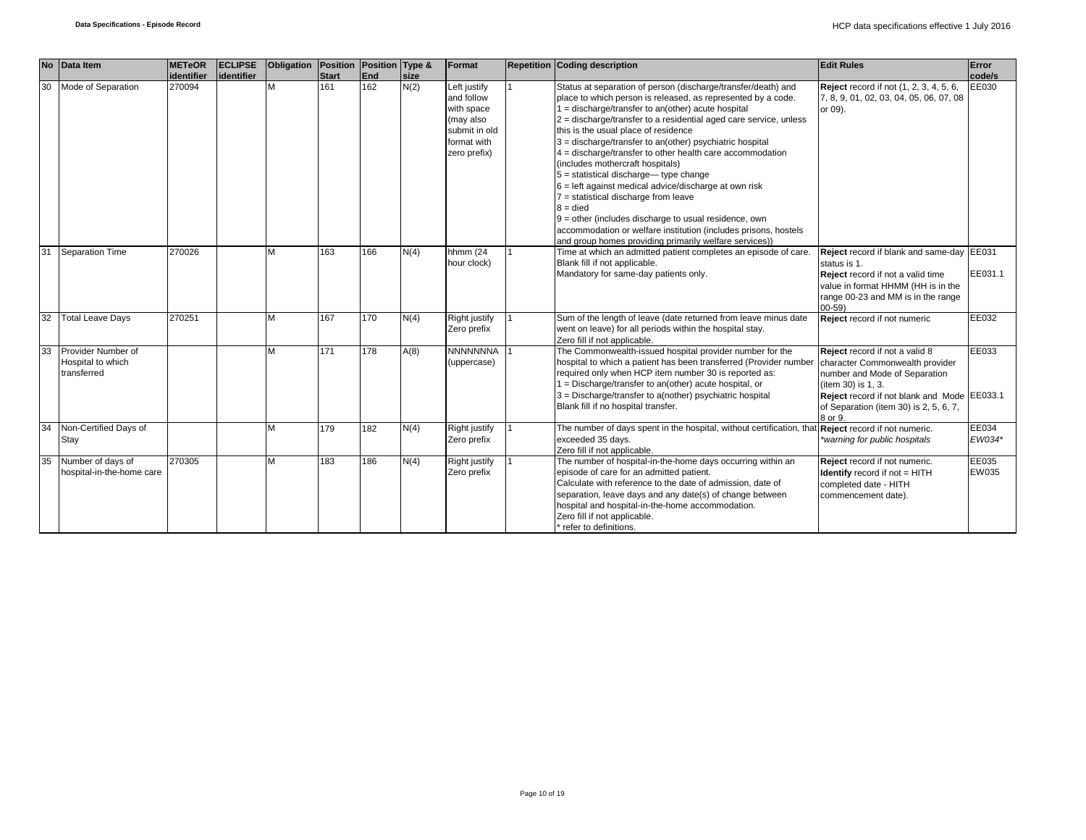|    | No Data Item                                           | <b>METeOR</b> | <b>ECLIPSE</b> | Obligation Position |              | Position Type & |      | Format                                                                                                | <b>Repetition Coding description</b>                                                                                                                                                                                                                                                                                                                                                                                                                                                                                                                                                                                                                                                                                                                                                                                    | <b>Edit Rules</b>                                                                                                                                                                                                           | Error           |
|----|--------------------------------------------------------|---------------|----------------|---------------------|--------------|-----------------|------|-------------------------------------------------------------------------------------------------------|-------------------------------------------------------------------------------------------------------------------------------------------------------------------------------------------------------------------------------------------------------------------------------------------------------------------------------------------------------------------------------------------------------------------------------------------------------------------------------------------------------------------------------------------------------------------------------------------------------------------------------------------------------------------------------------------------------------------------------------------------------------------------------------------------------------------------|-----------------------------------------------------------------------------------------------------------------------------------------------------------------------------------------------------------------------------|-----------------|
|    |                                                        | identifier    | lidentifier    |                     | <b>Start</b> | End             | size |                                                                                                       |                                                                                                                                                                                                                                                                                                                                                                                                                                                                                                                                                                                                                                                                                                                                                                                                                         |                                                                                                                                                                                                                             | code/s          |
| 30 | Mode of Separation                                     | 270094        |                | M                   | 161          | 162             | N(2) | Left justify<br>and follow<br>with space<br>(may also<br>submit in old<br>format with<br>zero prefix) | Status at separation of person (discharge/transfer/death) and<br>place to which person is released, as represented by a code.<br>1 = discharge/transfer to an(other) acute hospital<br>$2 =$ discharge/transfer to a residential aged care service, unless<br>this is the usual place of residence<br>3 = discharge/transfer to an(other) psychiatric hospital<br>$4 =$ discharge/transfer to other health care accommodation<br>(includes mothercraft hospitals)<br>$5 =$ statistical discharge-type change<br>$6$ = left against medical advice/discharge at own risk<br>$7$ = statistical discharge from leave<br>$8 =$ died<br>$9$ = other (includes discharge to usual residence, own<br>accommodation or welfare institution (includes prisons, hostels<br>and group homes providing primarily welfare services)) | <b>Reject</b> record if not (1, 2, 3, 4, 5, 6,<br>7, 8, 9, 01, 02, 03, 04, 05, 06, 07, 08<br>or 09).                                                                                                                        | EE030           |
| 31 | <b>Separation Time</b>                                 | 270026        |                | M                   | 163          | 166             | N(4) | hhmm $(24)$<br>hour clock)                                                                            | Time at which an admitted patient completes an episode of care.<br>Blank fill if not applicable.<br>Mandatory for same-day patients only.                                                                                                                                                                                                                                                                                                                                                                                                                                                                                                                                                                                                                                                                               | Reject record if blank and same-day EE031<br>status is 1.<br>Reject record if not a valid time<br>value in format HHMM (HH is in the<br>range 00-23 and MM is in the range<br>$(00 - 59)$                                   | EE031.1         |
| 32 | <b>Total Leave Days</b>                                | 270251        |                | M                   | 167          | 170             | N(4) | Right justify<br>Zero prefix                                                                          | Sum of the length of leave (date returned from leave minus date<br>went on leave) for all periods within the hospital stay.<br>Zero fill if not applicable.                                                                                                                                                                                                                                                                                                                                                                                                                                                                                                                                                                                                                                                             | Reject record if not numeric                                                                                                                                                                                                | EE032           |
| 33 | Provider Number of<br>Hospital to which<br>transferred |               |                | M                   | 171          | 178             | A(8) | <b>NNNNNNNA</b><br>(uppercase)                                                                        | The Commonwealth-issued hospital provider number for the<br>hospital to which a patient has been transferred (Provider number<br>required only when HCP item number 30 is reported as:<br>1 = Discharge/transfer to an(other) acute hospital, or<br>3 = Discharge/transfer to a(nother) psychiatric hospital<br>Blank fill if no hospital transfer.                                                                                                                                                                                                                                                                                                                                                                                                                                                                     | Reject record if not a valid 8<br>character Commonwealth provider<br>number and Mode of Separation<br>(item 30) is 1, 3.<br>Reject record if not blank and Mode EE033.1<br>of Separation (item 30) is 2, 5, 6, 7,<br>8 or 9 | EE033           |
| 34 | Non-Certified Days of<br>Stay                          |               |                | M                   | 179          | 182             | N(4) | Right justify<br>Zero prefix                                                                          | The number of days spent in the hospital, without certification, that Reject record if not numeric.<br>exceeded 35 days.<br>Zero fill if not applicable.                                                                                                                                                                                                                                                                                                                                                                                                                                                                                                                                                                                                                                                                | warning for public hospitals*                                                                                                                                                                                               | EE034<br>EW034* |
| 35 | Number of days of<br>hospital-in-the-home care         | 270305        |                | M                   | 183          | 186             | N(4) | Right justify<br>Zero prefix                                                                          | The number of hospital-in-the-home days occurring within an<br>episode of care for an admitted patient.<br>Calculate with reference to the date of admission, date of<br>separation, leave days and any date(s) of change between<br>hospital and hospital-in-the-home accommodation.<br>Zero fill if not applicable.<br>refer to definitions.                                                                                                                                                                                                                                                                                                                                                                                                                                                                          | Reject record if not numeric.<br><b>Identify</b> record if not = HITH<br>completed date - HITH<br>commencement date).                                                                                                       | EE035<br>EW035  |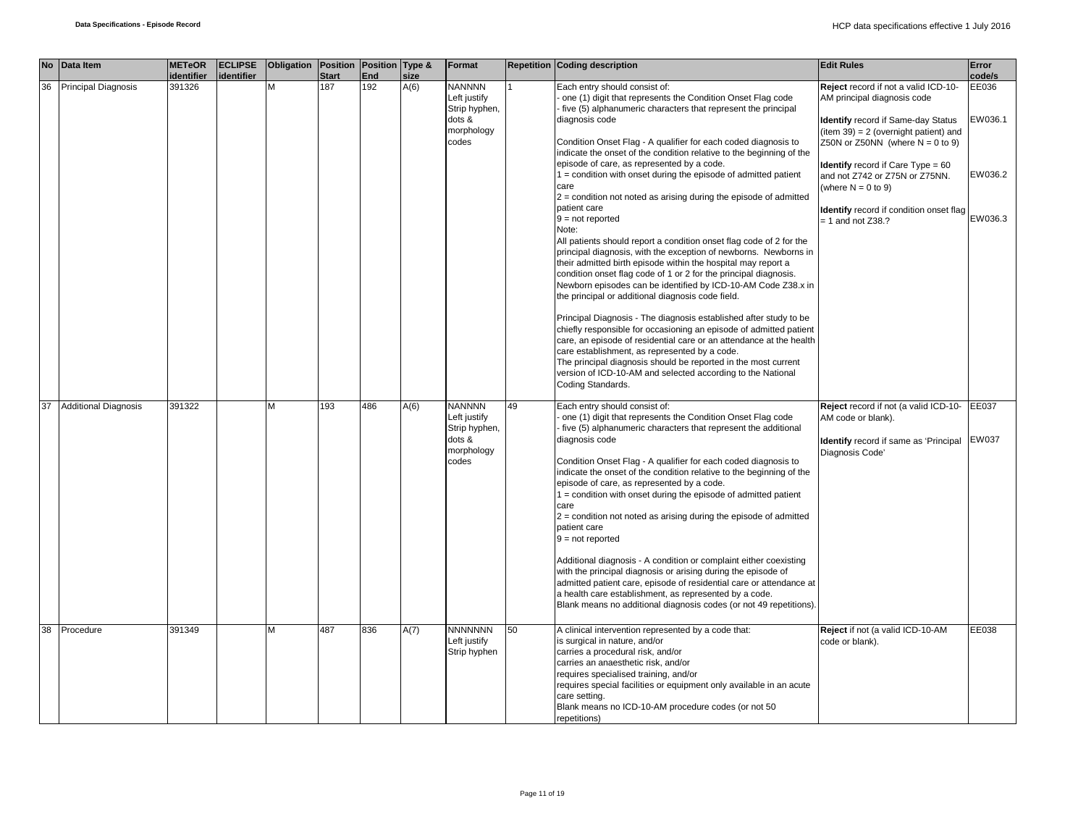|    | No Data Item                | <b>METeOR</b><br><i>identifier</i> | <b>ECLIPSE</b><br>identifier | Obligation   Position   Position   Type & | <b>Start</b> | End | size | Format                                                                          |    | <b>Repetition Coding description</b>                                                                                                                                                                                                                                                                                                                                                                                                                                                                                                                                                                                                                                                                                                                                                                                                                                                                                                                                                                                                                                                                                                                                                                                                                                                                                                                                                                    | <b>Edit Rules</b>                                                                                                                                                                                                                                                                                                                                                | Error<br>code/s                        |
|----|-----------------------------|------------------------------------|------------------------------|-------------------------------------------|--------------|-----|------|---------------------------------------------------------------------------------|----|---------------------------------------------------------------------------------------------------------------------------------------------------------------------------------------------------------------------------------------------------------------------------------------------------------------------------------------------------------------------------------------------------------------------------------------------------------------------------------------------------------------------------------------------------------------------------------------------------------------------------------------------------------------------------------------------------------------------------------------------------------------------------------------------------------------------------------------------------------------------------------------------------------------------------------------------------------------------------------------------------------------------------------------------------------------------------------------------------------------------------------------------------------------------------------------------------------------------------------------------------------------------------------------------------------------------------------------------------------------------------------------------------------|------------------------------------------------------------------------------------------------------------------------------------------------------------------------------------------------------------------------------------------------------------------------------------------------------------------------------------------------------------------|----------------------------------------|
| 36 | <b>Principal Diagnosis</b>  | 391326                             |                              | M                                         | 187          | 192 | A(6) | <b>NANNNN</b><br>Left justify<br>Strip hyphen,<br>dots &<br>morphology<br>codes |    | Each entry should consist of:<br>one (1) digit that represents the Condition Onset Flag code<br>five (5) alphanumeric characters that represent the principal<br>diagnosis code<br>Condition Onset Flag - A qualifier for each coded diagnosis to<br>indicate the onset of the condition relative to the beginning of the<br>episode of care, as represented by a code.<br>1 = condition with onset during the episode of admitted patient<br>care<br>$2$ = condition not noted as arising during the episode of admitted<br>patient care<br>$9 = not reported$<br>Note:<br>All patients should report a condition onset flag code of 2 for the<br>principal diagnosis, with the exception of newborns. Newborns in<br>their admitted birth episode within the hospital may report a<br>condition onset flag code of 1 or 2 for the principal diagnosis.<br>Newborn episodes can be identified by ICD-10-AM Code Z38.x in<br>the principal or additional diagnosis code field.<br>Principal Diagnosis - The diagnosis established after study to be<br>chiefly responsible for occasioning an episode of admitted patient<br>care, an episode of residential care or an attendance at the health<br>care establishment, as represented by a code.<br>The principal diagnosis should be reported in the most current<br>version of ICD-10-AM and selected according to the National<br>Coding Standards. | Reject record if not a valid ICD-10-<br>AM principal diagnosis code<br>Identify record if Same-day Status<br>(item 39) = 2 (overnight patient) and<br>Z50N or Z50NN (where $N = 0$ to 9)<br><b>Identify</b> record if Care Type = 60<br>and not Z742 or Z75N or Z75NN.<br>(where $N = 0$ to 9)<br>Identify record if condition onset flag<br>$= 1$ and not Z38.? | EE036<br>EW036.1<br>EW036.2<br>EW036.3 |
| 37 | <b>Additional Diagnosis</b> | 391322                             |                              | M                                         | 193          | 486 | A(6) | <b>NANNNN</b><br>Left justify<br>Strip hyphen,<br>dots &<br>morphology<br>codes | 49 | Each entry should consist of:<br>one (1) digit that represents the Condition Onset Flag code<br>five (5) alphanumeric characters that represent the additional<br>diagnosis code<br>Condition Onset Flag - A qualifier for each coded diagnosis to<br>indicate the onset of the condition relative to the beginning of the<br>episode of care, as represented by a code.<br>1 = condition with onset during the episode of admitted patient<br>care<br>$2$ = condition not noted as arising during the episode of admitted<br>patient care<br>$9 = not reported$<br>Additional diagnosis - A condition or complaint either coexisting<br>with the principal diagnosis or arising during the episode of<br>admitted patient care, episode of residential care or attendance at<br>a health care establishment, as represented by a code.<br>Blank means no additional diagnosis codes (or not 49 repetitions).                                                                                                                                                                                                                                                                                                                                                                                                                                                                                           | Reject record if not (a valid ICD-10-<br>AM code or blank).<br>Identify record if same as 'Principal<br>Diagnosis Code'                                                                                                                                                                                                                                          | EE037<br>EW037                         |
|    | 38 Procedure                | 391349                             |                              | M                                         | 487          | 836 | A(7) | <b>NNNNNNN</b><br>Left justify<br>Strip hyphen                                  | 50 | A clinical intervention represented by a code that:<br>is surgical in nature, and/or<br>carries a procedural risk, and/or<br>carries an anaesthetic risk, and/or<br>requires specialised training, and/or<br>requires special facilities or equipment only available in an acute<br>care setting.<br>Blank means no ICD-10-AM procedure codes (or not 50<br>repetitions)                                                                                                                                                                                                                                                                                                                                                                                                                                                                                                                                                                                                                                                                                                                                                                                                                                                                                                                                                                                                                                | Reject if not (a valid ICD-10-AM<br>code or blank).                                                                                                                                                                                                                                                                                                              | EE038                                  |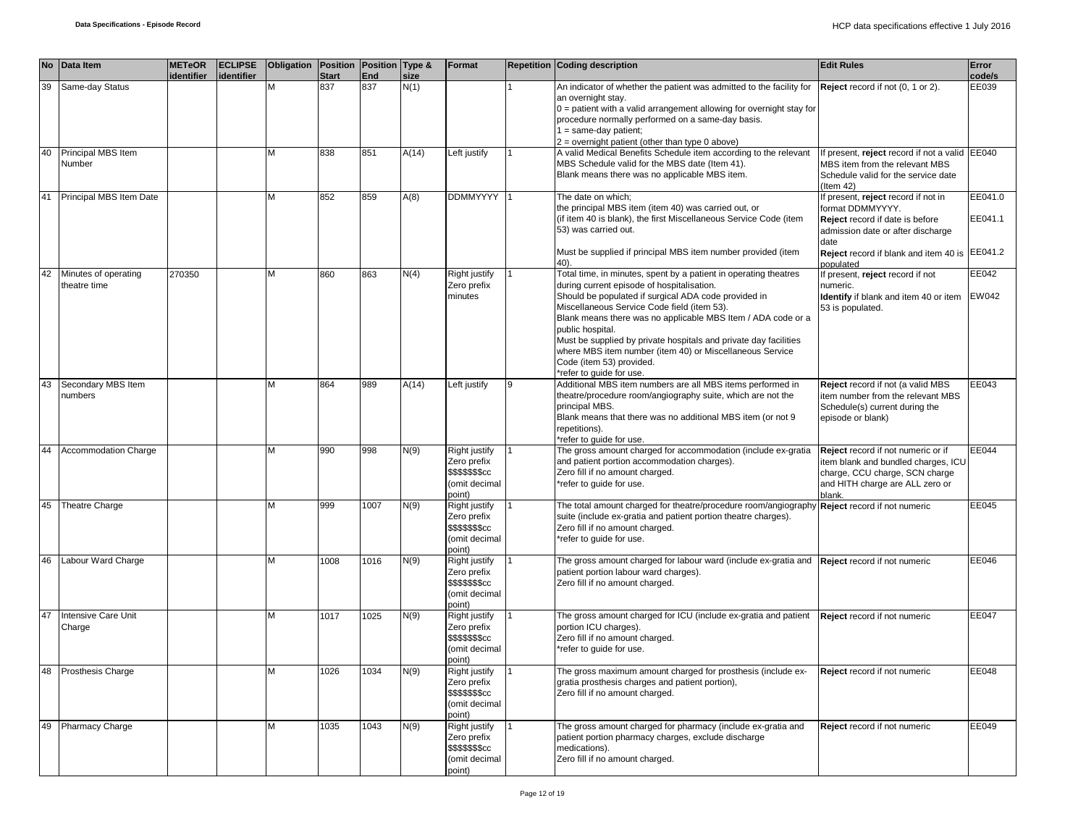|    | No Data Item                         | <b>METeOR</b> | <b>ECLIPSE</b> | Obligation Position Position Type & |              |      |             | Format                                                                      |   | <b>Repetition Coding description</b>                                                                                                                                                                                                                                                                                                                                                                                                                                                              | <b>Edit Rules</b>                                                                                                                                       | Error   |
|----|--------------------------------------|---------------|----------------|-------------------------------------|--------------|------|-------------|-----------------------------------------------------------------------------|---|---------------------------------------------------------------------------------------------------------------------------------------------------------------------------------------------------------------------------------------------------------------------------------------------------------------------------------------------------------------------------------------------------------------------------------------------------------------------------------------------------|---------------------------------------------------------------------------------------------------------------------------------------------------------|---------|
|    |                                      | identifier    | identifier     |                                     | <b>Start</b> | End  | <u>size</u> |                                                                             |   |                                                                                                                                                                                                                                                                                                                                                                                                                                                                                                   |                                                                                                                                                         | code/s  |
| 39 | Same-day Status                      |               |                | м                                   | 837          | 837  | N(1)        |                                                                             |   | An indicator of whether the patient was admitted to the facility for<br>an overnight stay.<br>$0 =$ patient with a valid arrangement allowing for overnight stay for<br>procedure normally performed on a same-day basis.<br>$1 = same-day patient;$                                                                                                                                                                                                                                              | Reject record if not (0, 1 or 2).                                                                                                                       | EE039   |
|    |                                      |               |                |                                     |              |      |             |                                                                             |   | $2$ = overnight patient (other than type 0 above)                                                                                                                                                                                                                                                                                                                                                                                                                                                 |                                                                                                                                                         |         |
| 40 | Principal MBS Item<br>Number         |               |                | M                                   | 838          | 851  | A(14)       | Left justify                                                                |   | A valid Medical Benefits Schedule item according to the relevant<br>MBS Schedule valid for the MBS date (Item 41).<br>Blank means there was no applicable MBS item.                                                                                                                                                                                                                                                                                                                               | If present, reject record if not a valid EE040<br>MBS item from the relevant MBS<br>Schedule valid for the service date<br>(Item $42$ )                 |         |
|    | 41 Principal MBS Item Date           |               |                | м                                   | 852          | 859  | A(8)        | <b>DDMMYYYY</b>                                                             |   | The date on which;                                                                                                                                                                                                                                                                                                                                                                                                                                                                                | If present, reject record if not in                                                                                                                     | EE041.0 |
|    |                                      |               |                |                                     |              |      |             |                                                                             |   | the principal MBS item (item 40) was carried out, or<br>(if item 40 is blank), the first Miscellaneous Service Code (item<br>53) was carried out.                                                                                                                                                                                                                                                                                                                                                 | format DDMMYYYY.<br>Reject record if date is before<br>admission date or after discharge<br>date                                                        | EE041.1 |
|    |                                      |               |                |                                     |              |      |             |                                                                             |   | Must be supplied if principal MBS item number provided (item<br>40).                                                                                                                                                                                                                                                                                                                                                                                                                              | Reject record if blank and item 40 is EE041.2<br>populated                                                                                              |         |
| 42 | Minutes of operating<br>theatre time | 270350        |                | M                                   | 860          | 863  | N(4)        | Right justify<br>Zero prefix<br>minutes                                     |   | Total time, in minutes, spent by a patient in operating theatres<br>during current episode of hospitalisation.<br>Should be populated if surgical ADA code provided in<br>Miscellaneous Service Code field (item 53).<br>Blank means there was no applicable MBS Item / ADA code or a<br>public hospital.<br>Must be supplied by private hospitals and private day facilities<br>where MBS item number (item 40) or Miscellaneous Service<br>Code (item 53) provided.<br>*refer to quide for use. | If present, reject record if not<br>numeric.<br><b>Identify</b> if blank and item 40 or item EW042<br>53 is populated.                                  | EE042   |
| 43 | Secondary MBS Item<br>numbers        |               |                | м                                   | 864          | 989  | A(14)       | Left justify                                                                | 9 | Additional MBS item numbers are all MBS items performed in<br>theatre/procedure room/angiography suite, which are not the<br>principal MBS.<br>Blank means that there was no additional MBS item (or not 9<br>repetitions).<br>*refer to quide for use.                                                                                                                                                                                                                                           | Reject record if not (a valid MBS<br>item number from the relevant MBS<br>Schedule(s) current during the<br>episode or blank)                           | EE043   |
| 44 | <b>Accommodation Charge</b>          |               |                | M                                   | 990          | 998  | N(9)        | Right justify<br>Zero prefix<br>\$\$\$\$\$\$\$cc<br>(omit decimal<br>point) |   | The gross amount charged for accommodation (include ex-gratia<br>and patient portion accommodation charges).<br>Zero fill if no amount charged.<br>*refer to guide for use.                                                                                                                                                                                                                                                                                                                       | Reject record if not numeric or if<br>item blank and bundled charges, ICU<br>charge, CCU charge, SCN charge<br>and HITH charge are ALL zero or<br>blank | EE044   |
| 45 | <b>Theatre Charge</b>                |               |                | M                                   | 999          | 1007 | N(9)        | Right justify<br>Zero prefix<br>\$\$\$\$\$\$\$cc<br>(omit decimal<br>point) |   | The total amount charged for theatre/procedure room/angiography Reject record if not numeric<br>suite (include ex-gratia and patient portion theatre charges).<br>Zero fill if no amount charged.<br>*refer to quide for use.                                                                                                                                                                                                                                                                     |                                                                                                                                                         | EE045   |
| 46 | Labour Ward Charge                   |               |                | M                                   | 1008         | 1016 | N(9)        | Right justify<br>Zero prefix<br>\$\$\$\$\$\$\$cc<br>(omit decimal<br>point) |   | The gross amount charged for labour ward (include ex-gratia and<br>patient portion labour ward charges).<br>Zero fill if no amount charged.                                                                                                                                                                                                                                                                                                                                                       | Reject record if not numeric                                                                                                                            | EE046   |
| 47 | Intensive Care Unit<br>Charge        |               |                | м                                   | 1017         | 1025 | N(9)        | Right justify<br>Zero prefix<br>\$\$\$\$\$\$\$cc<br>(omit decimal<br>point) |   | The gross amount charged for ICU (include ex-gratia and patient<br>portion ICU charges).<br>Zero fill if no amount charged.<br>*refer to guide for use.                                                                                                                                                                                                                                                                                                                                           | Reject record if not numeric                                                                                                                            | EE047   |
| 48 | Prosthesis Charge                    |               |                | M                                   | 1026         | 1034 | N(9)        | Right justify<br>Zero prefix<br>\$\$\$\$\$\$\$cc<br>(omit decimal<br>point) |   | The gross maximum amount charged for prosthesis (include ex-<br>gratia prosthesis charges and patient portion),<br>Zero fill if no amount charged.                                                                                                                                                                                                                                                                                                                                                | Reject record if not numeric                                                                                                                            | EE048   |
| 49 | <b>Pharmacy Charge</b>               |               |                | M                                   | 1035         | 1043 | N(9)        | Right justify<br>Zero prefix<br>\$\$\$\$\$\$\$cc<br>(omit decimal<br>point) |   | The gross amount charged for pharmacy (include ex-gratia and<br>patient portion pharmacy charges, exclude discharge<br>medications).<br>Zero fill if no amount charged.                                                                                                                                                                                                                                                                                                                           | Reject record if not numeric                                                                                                                            | EE049   |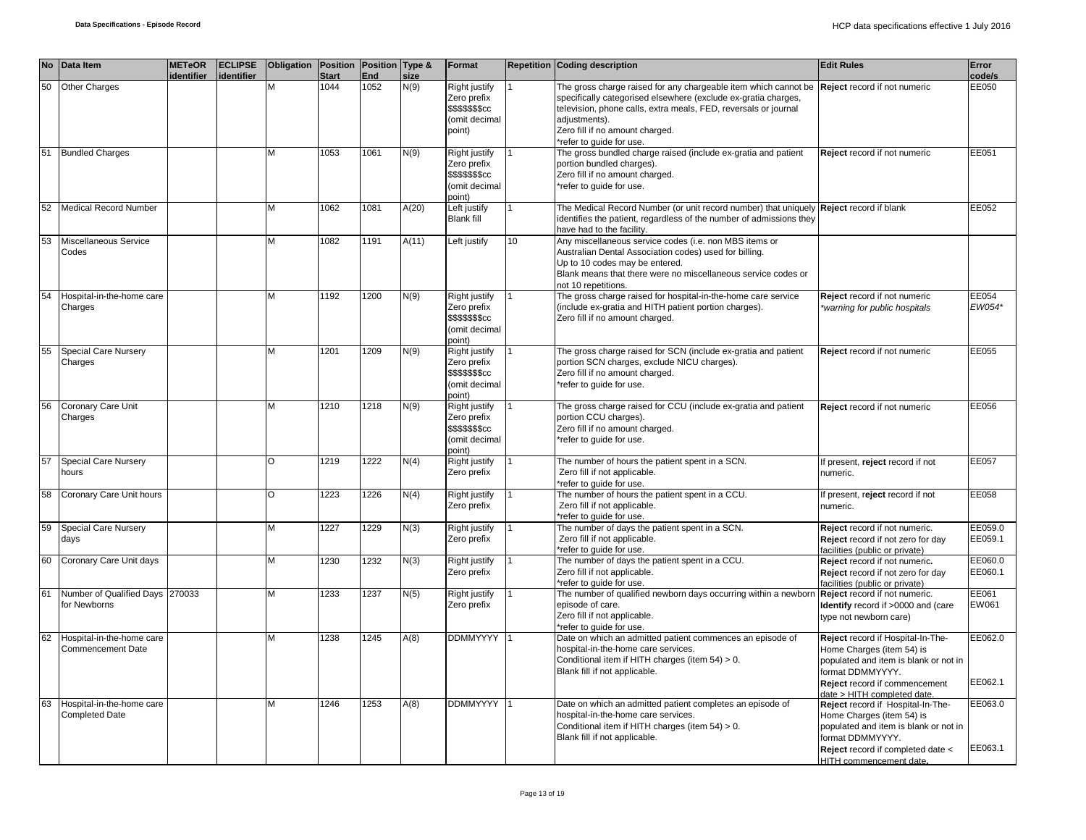|    | No Data Item                                       | <b>METeOR</b><br>identifier | <b>ECLIPSE</b><br>identifier | Obligation   Position   Position   Type & | <b>Start</b> | End  | size  | Format                                                                                         |    | <b>Repetition Coding description</b>                                                                                                                                                                                                                                                 | <b>Edit Rules</b>                                                                                                                                                                           | Error<br><u>code/s</u> |
|----|----------------------------------------------------|-----------------------------|------------------------------|-------------------------------------------|--------------|------|-------|------------------------------------------------------------------------------------------------|----|--------------------------------------------------------------------------------------------------------------------------------------------------------------------------------------------------------------------------------------------------------------------------------------|---------------------------------------------------------------------------------------------------------------------------------------------------------------------------------------------|------------------------|
| 50 | Other Charges                                      |                             |                              |                                           | 1044         | 1052 | N(9)  | Right justify<br>Zero prefix<br>\$\$\$\$\$\$\$cc<br>(omit decimal<br>point)                    |    | The gross charge raised for any chargeable item which cannot be<br>specifically categorised elsewhere (exclude ex-gratia charges,<br>television, phone calls, extra meals, FED, reversals or journal<br>adjustments).<br>Zero fill if no amount charged.<br>*refer to quide for use. | Reject record if not numeric                                                                                                                                                                | EE050                  |
| 51 | <b>Bundled Charges</b>                             |                             |                              | м                                         | 1053         | 1061 | N(9)  | Right justify<br>Zero prefix<br>\$\$\$\$\$\$\$cc<br>(omit decimal<br>point)                    |    | The gross bundled charge raised (include ex-gratia and patient<br>portion bundled charges).<br>Zero fill if no amount charged.<br>*refer to guide for use.                                                                                                                           | Reject record if not numeric                                                                                                                                                                | EE051                  |
| 52 | <b>Medical Record Number</b>                       |                             |                              | М                                         | 1062         | 1081 | A(20) | Left justify<br><b>Blank fill</b>                                                              |    | The Medical Record Number (or unit record number) that uniquely Reject record if blank<br>identifies the patient, regardless of the number of admissions they<br>have had to the facility.                                                                                           |                                                                                                                                                                                             | EE052                  |
| 53 | Miscellaneous Service<br>Codes                     |                             |                              | М                                         | 1082         | 1191 | A(11) | Left justify                                                                                   | 10 | Any miscellaneous service codes (i.e. non MBS items or<br>Australian Dental Association codes) used for billing.<br>Up to 10 codes may be entered.<br>Blank means that there were no miscellaneous service codes or<br>not 10 repetitions.                                           |                                                                                                                                                                                             |                        |
| 54 | Hospital-in-the-home care<br>Charges               |                             |                              | M                                         | 1192         | 1200 | N(9)  | Right justify<br>Zero prefix<br>\$\$\$\$\$\$\$cc<br>(omit decimal<br>point)                    |    | The gross charge raised for hospital-in-the-home care service<br>(include ex-gratia and HITH patient portion charges).<br>Zero fill if no amount charged.                                                                                                                            | Reject record if not numeric<br>*warning for public hospitals                                                                                                                               | EE054<br>EW054*        |
| 55 | Special Care Nursery<br>Charges                    |                             |                              | M                                         | 1201         | 1209 | N(9)  | Right justify<br>Zero prefix<br>\$\$\$\$\$\$ <sub>\$cc</sub><br>(omit decimal<br>point)        |    | The gross charge raised for SCN (include ex-gratia and patient<br>portion SCN charges, exclude NICU charges).<br>Zero fill if no amount charged.<br>*refer to guide for use.                                                                                                         | Reject record if not numeric                                                                                                                                                                | EE055                  |
| 56 | Coronary Care Unit<br>Charges                      |                             |                              | M                                         | 1210         | 1218 | N(9)  | <b>Right justify</b><br>Zero prefix<br>\$\$\$\$\$\$ <sub>\$cc</sub><br>(omit decimal<br>point) |    | The gross charge raised for CCU (include ex-gratia and patient<br>portion CCU charges).<br>Zero fill if no amount charged.<br>*refer to guide for use.                                                                                                                               | Reject record if not numeric                                                                                                                                                                | EE056                  |
| 57 | Special Care Nursery<br>hours                      |                             |                              | $\Omega$                                  | 1219         | 1222 | N(4)  | Right justify<br>Zero prefix                                                                   |    | The number of hours the patient spent in a SCN.<br>Zero fill if not applicable.<br>*refer to guide for use.                                                                                                                                                                          | If present, reject record if not<br>numeric.                                                                                                                                                | EE057                  |
| 58 | Coronary Care Unit hours                           |                             |                              | O                                         | 1223         | 1226 | N(4)  | Right justify<br>Zero prefix                                                                   |    | The number of hours the patient spent in a CCU.<br>Zero fill if not applicable.<br>*refer to guide for use.                                                                                                                                                                          | If present, reject record if not<br>numeric.                                                                                                                                                | EE058                  |
| 59 | <b>Special Care Nursery</b><br>days                |                             |                              | M                                         | 1227         | 1229 | N(3)  | Right justify<br>Zero prefix                                                                   |    | The number of days the patient spent in a SCN.<br>Zero fill if not applicable.<br>*refer to guide for use.                                                                                                                                                                           | Reject record if not numeric.<br>Reject record if not zero for day<br>facilities (public or private)                                                                                        | EE059.0<br>EE059.1     |
| 60 | Coronary Care Unit days                            |                             |                              | M                                         | 1230         | 1232 | N(3)  | Right justify<br>Zero prefix                                                                   |    | The number of days the patient spent in a CCU.<br>Zero fill if not applicable.<br>*refer to quide for use.                                                                                                                                                                           | Reject record if not numeric.<br>Reject record if not zero for day<br>facilities (public or private)                                                                                        | EE060.0<br>EE060.1     |
| 61 | Number of Qualified Days 270033<br>for Newborns    |                             |                              | М                                         | 1233         | 1237 | N(5)  | Right justify<br>Zero prefix                                                                   |    | The number of qualified newborn days occurring within a newborr<br>episode of care.<br>Zero fill if not applicable.<br>*refer to guide for use.                                                                                                                                      | Reject record if not numeric.<br>Identify record if >0000 and (care<br>type not newborn care)                                                                                               | EE061<br>EW061         |
| 62 | Hospital-in-the-home care<br>Commencement Date     |                             |                              | M                                         | 1238         | 1245 | A(8)  | <b>DDMMYYYY</b>                                                                                |    | Date on which an admitted patient commences an episode of<br>hospital-in-the-home care services.<br>Conditional item if HITH charges (item 54) > 0.<br>Blank fill if not applicable.                                                                                                 | Reject record if Hospital-In-The-<br>Home Charges (item 54) is<br>populated and item is blank or not in<br>format DDMMYYYY.<br>Reject record if commencement<br>date > HITH completed date. | EE062.0<br>EE062.1     |
| 63 | Hospital-in-the-home care<br><b>Completed Date</b> |                             |                              | M                                         | 1246         | 1253 | A(8)  | <b>DDMMYYYY</b>                                                                                |    | Date on which an admitted patient completes an episode of<br>hospital-in-the-home care services.<br>Conditional item if HITH charges (item 54) > 0.<br>Blank fill if not applicable.                                                                                                 | Reject record if Hospital-In-The-<br>Home Charges (item 54) is<br>populated and item is blank or not in<br>format DDMMYYYY.<br>Reject record if completed date <<br>HITH commencement date. | EE063.0<br>EE063.1     |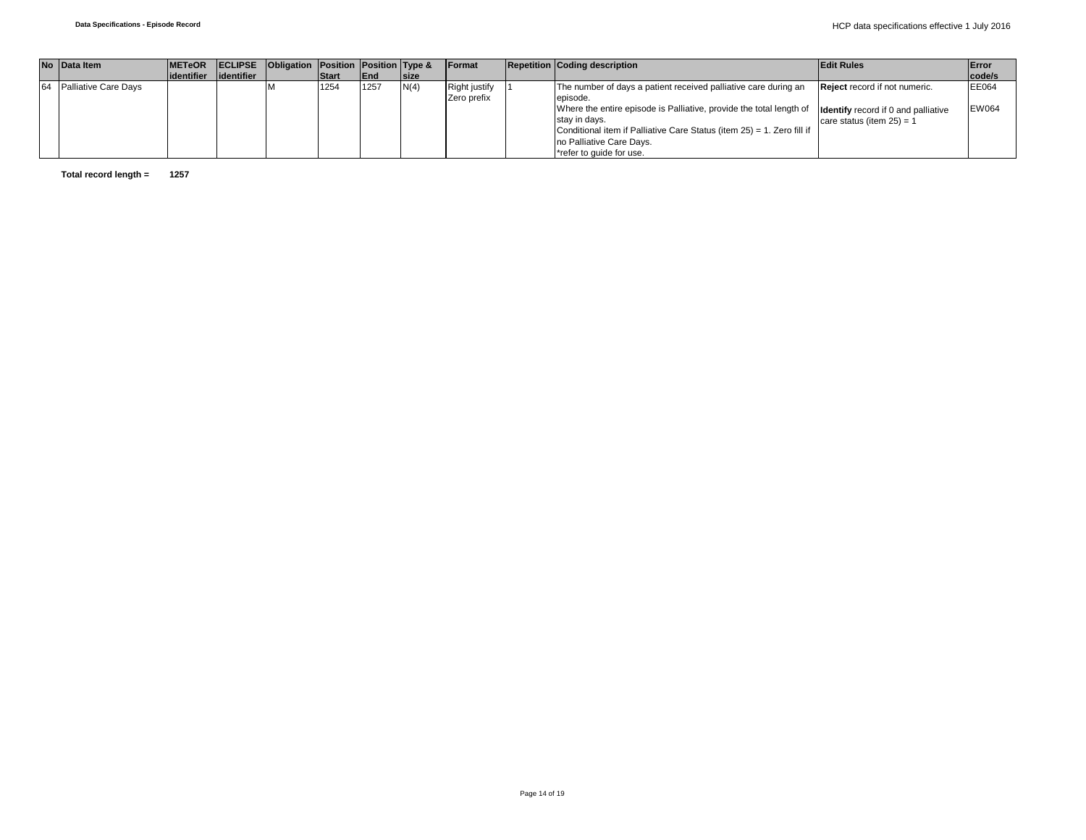| No Data Item                | <b>IMETeOR</b>          | <b>ECLIPSE</b> Obligation Position Position Type & |              |            |              | <b>Format</b> | <b>Repetition Coding description</b>                                   | <b>Edit Rules</b>                          | Error        |
|-----------------------------|-------------------------|----------------------------------------------------|--------------|------------|--------------|---------------|------------------------------------------------------------------------|--------------------------------------------|--------------|
|                             | lidentifier lidentifier |                                                    | <b>Start</b> | <b>End</b> | <b>Isize</b> |               |                                                                        |                                            | code/s       |
| <b>Palliative Care Davs</b> |                         |                                                    | 1254         | 1257       | N(4)         | Right justify | The number of days a patient received palliative care during an        | <b>Reject</b> record if not numeric.       | EE064        |
|                             |                         |                                                    |              |            |              | Zero prefix   | episode.                                                               |                                            |              |
|                             |                         |                                                    |              |            |              |               | Where the entire episode is Palliative, provide the total length of    | <b>Identify</b> record if 0 and palliative | <b>EW064</b> |
|                             |                         |                                                    |              |            |              |               | stav in davs.                                                          | care status (item $25$ ) = 1               |              |
|                             |                         |                                                    |              |            |              |               | Conditional item if Palliative Care Status (item 25) = 1. Zero fill if |                                            |              |
|                             |                         |                                                    |              |            |              |               | no Palliative Care Days.                                               |                                            |              |
|                             |                         |                                                    |              |            |              |               | *refer to guide for use.                                               |                                            |              |

**Total record length = 1257**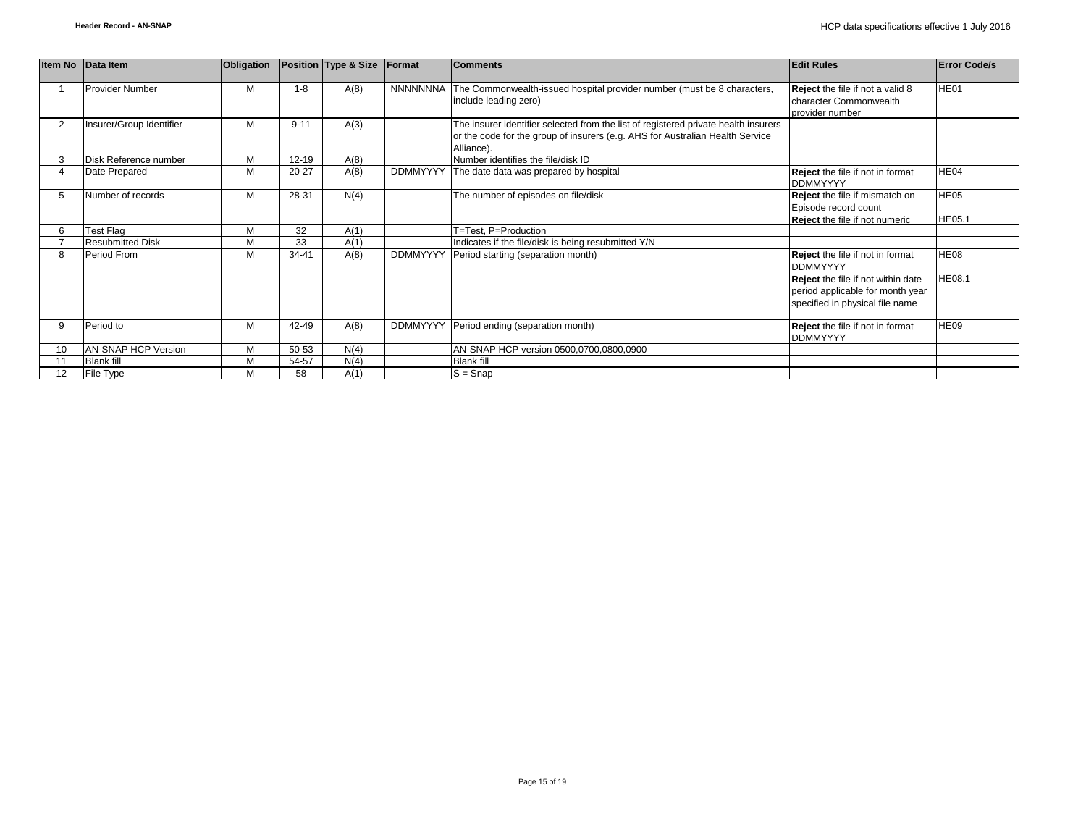|                   | Item No Data Item        | <b>Obligation</b> |           | Position Type & Size | Format          | <b>Comments</b>                                                                                                                                                                    | <b>Edit Rules</b>                                                                                                                                                       | <b>Error Code/s</b>          |
|-------------------|--------------------------|-------------------|-----------|----------------------|-----------------|------------------------------------------------------------------------------------------------------------------------------------------------------------------------------------|-------------------------------------------------------------------------------------------------------------------------------------------------------------------------|------------------------------|
|                   | <b>Provider Number</b>   | M                 | $1 - 8$   | A(8)                 | NNNNNNNA        | The Commonwealth-issued hospital provider number (must be 8 characters,<br>include leading zero)                                                                                   | Reject the file if not a valid 8<br>character Commonwealth<br>provider number                                                                                           | HE01                         |
| $\overline{2}$    | Insurer/Group Identifier | M                 | $9 - 11$  | A(3)                 |                 | The insurer identifier selected from the list of registered private health insurers<br>or the code for the group of insurers (e.g. AHS for Australian Health Service<br>Alliance). |                                                                                                                                                                         |                              |
| 3                 | Disk Reference number    | M                 | $12 - 19$ | A(8)                 |                 | Number identifies the file/disk ID                                                                                                                                                 |                                                                                                                                                                         |                              |
| 4                 | Date Prepared            | M                 | 20-27     | A(8)                 | <b>DDMMYYYY</b> | The date data was prepared by hospital                                                                                                                                             | Reject the file if not in format<br><b>DDMMYYYY</b>                                                                                                                     | HE04                         |
| 5                 | Number of records        | M                 | 28-31     | N(4)                 |                 | The number of episodes on file/disk                                                                                                                                                | <b>Reject</b> the file if mismatch on<br>Episode record count                                                                                                           | HE <sub>05</sub>             |
| 6                 | Test Flag                | M                 | 32        | A(1)                 |                 | T=Test, P=Production                                                                                                                                                               | <b>Reject</b> the file if not numeric                                                                                                                                   | <b>HE05.1</b>                |
|                   | <b>Resubmitted Disk</b>  | M                 | 33        | A(1)                 |                 | Indicates if the file/disk is being resubmitted Y/N                                                                                                                                |                                                                                                                                                                         |                              |
| 8                 | Period From              | м                 | $34 - 41$ | A(8)                 | <b>DDMMYYYY</b> | Period starting (separation month)                                                                                                                                                 | <b>Reject</b> the file if not in format<br><b>DDMMYYYY</b><br>Reject the file if not within date<br>period applicable for month year<br>specified in physical file name | <b>HE08</b><br><b>HE08.1</b> |
| 9                 | Period to                | M                 | 42-49     | A(8)                 | <b>DDMMYYYY</b> | Period ending (separation month)                                                                                                                                                   | Reject the file if not in format<br><b>DDMMYYYY</b>                                                                                                                     | HE09                         |
| 10                | AN-SNAP HCP Version      | M                 | 50-53     | N(4)                 |                 | AN-SNAP HCP version 0500,0700,0800,0900                                                                                                                                            |                                                                                                                                                                         |                              |
| 11                | <b>Blank fill</b>        | M                 | 54-57     | N(4)                 |                 | <b>Blank fill</b>                                                                                                                                                                  |                                                                                                                                                                         |                              |
| $12 \overline{ }$ | File Type                | М                 | 58        | A(1)                 |                 | $S =$ Snap                                                                                                                                                                         |                                                                                                                                                                         |                              |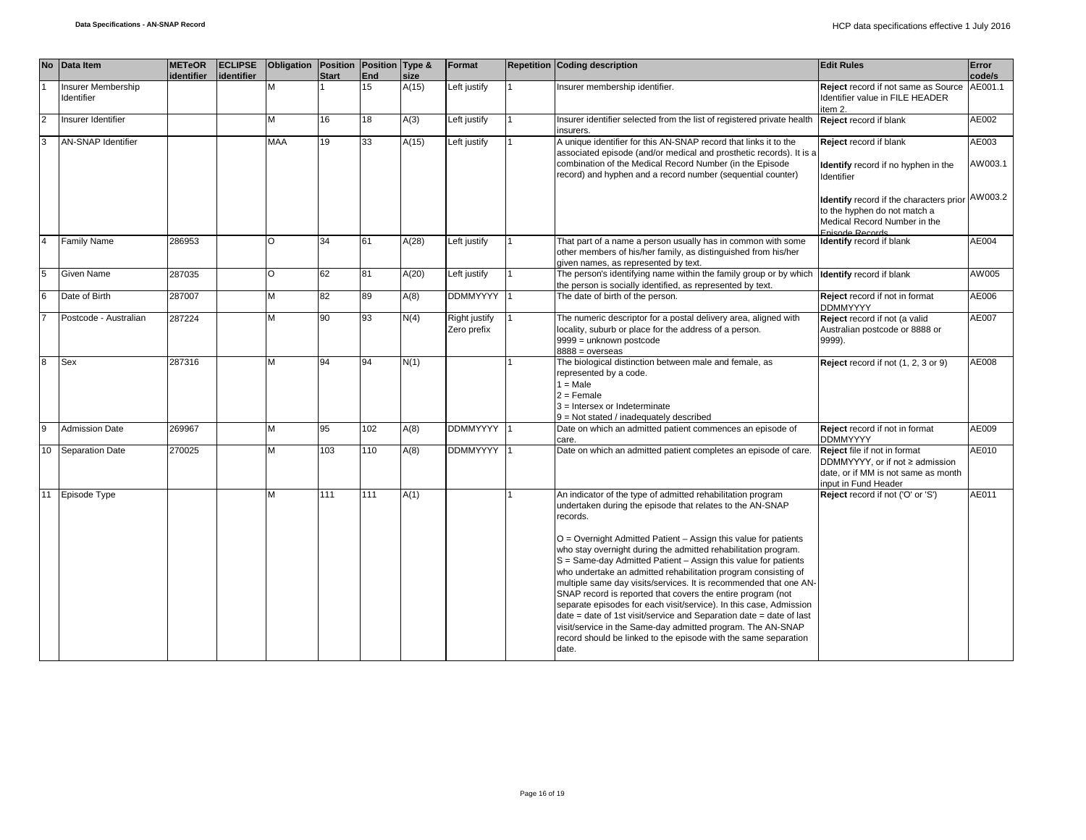|                | No Data Item                     | <b>METeOR</b><br>identifier | <b>ECLIPSE</b><br>lidentifier | Obligation   Position   Position   Type & | <b>Start</b> | End | size  | Format                              | <b>Repetition Coding description</b>                                                                                                                                                                                                                                                                                                                                                                                                                                                                                                                                                                                                                                                                                                                                                                                                          | <b>Edit Rules</b>                                                                                                                 | Error<br>code/s  |
|----------------|----------------------------------|-----------------------------|-------------------------------|-------------------------------------------|--------------|-----|-------|-------------------------------------|-----------------------------------------------------------------------------------------------------------------------------------------------------------------------------------------------------------------------------------------------------------------------------------------------------------------------------------------------------------------------------------------------------------------------------------------------------------------------------------------------------------------------------------------------------------------------------------------------------------------------------------------------------------------------------------------------------------------------------------------------------------------------------------------------------------------------------------------------|-----------------------------------------------------------------------------------------------------------------------------------|------------------|
|                | Insurer Membership<br>Identifier |                             |                               | M                                         |              | 15  | A(15) | Left justify                        | Insurer membership identifier.                                                                                                                                                                                                                                                                                                                                                                                                                                                                                                                                                                                                                                                                                                                                                                                                                | Reject record if not same as Source<br>Identifier value in FILE HEADER<br>item 2.                                                 | AE001.1          |
| <b>2</b>       | Insurer Identifier               |                             |                               | M                                         | 16           | 18  | A(3)  | Left justify                        | Insurer identifier selected from the list of registered private health<br>insurers.                                                                                                                                                                                                                                                                                                                                                                                                                                                                                                                                                                                                                                                                                                                                                           | Reject record if blank                                                                                                            | AE002            |
| 3              | <b>AN-SNAP Identifier</b>        |                             |                               | <b>MAA</b>                                | 19           | 33  | A(15) | Left justify                        | A unique identifier for this AN-SNAP record that links it to the<br>associated episode (and/or medical and prosthetic records). It is a<br>combination of the Medical Record Number (in the Episode<br>record) and hyphen and a record number (sequential counter)                                                                                                                                                                                                                                                                                                                                                                                                                                                                                                                                                                            | Reject record if blank<br>Identify record if no hyphen in the<br>Identifier                                                       | AE003<br>AW003.1 |
|                |                                  |                             |                               |                                           |              |     |       |                                     |                                                                                                                                                                                                                                                                                                                                                                                                                                                                                                                                                                                                                                                                                                                                                                                                                                               | <b>Identify</b> record if the characters prior<br>to the hyphen do not match a<br>Medical Record Number in the<br>Enisode Records | AW003.2          |
|                | <b>Family Name</b>               | 286953                      |                               | $\circ$                                   | 34           | 61  | A(28) | Left justify                        | That part of a name a person usually has in common with some<br>other members of his/her family, as distinguished from his/her<br>given names, as represented by text.                                                                                                                                                                                                                                                                                                                                                                                                                                                                                                                                                                                                                                                                        | Identify record if blank                                                                                                          | AE004            |
| 5              | Given Name                       | 287035                      |                               | $\circ$                                   | 62           | 81  | A(20) | Left justify                        | The person's identifying name within the family group or by which<br>the person is socially identified, as represented by text.                                                                                                                                                                                                                                                                                                                                                                                                                                                                                                                                                                                                                                                                                                               | <b>Identify</b> record if blank                                                                                                   | AW005            |
|                | Date of Birth                    | 287007                      |                               | M                                         | 82           | 89  | A(8)  | <b>DDMMYYYY</b>                     | The date of birth of the person.                                                                                                                                                                                                                                                                                                                                                                                                                                                                                                                                                                                                                                                                                                                                                                                                              | Reject record if not in format<br><b>DDMMYYYY</b>                                                                                 | AE006            |
|                | Postcode - Australian            | 287224                      |                               | M                                         | 90           | 93  | N(4)  | <b>Right justify</b><br>Zero prefix | The numeric descriptor for a postal delivery area, aligned with<br>locality, suburb or place for the address of a person.<br>9999 = unknown postcode<br>$8888 = 0$ verseas                                                                                                                                                                                                                                                                                                                                                                                                                                                                                                                                                                                                                                                                    | Reject record if not (a valid<br>Australian postcode or 8888 or<br>9999).                                                         | AE007            |
| $\overline{8}$ | <b>Sex</b>                       | 287316                      |                               | M                                         | 94           | 94  | N(1)  |                                     | The biological distinction between male and female, as<br>represented by a code.<br>$1 = Male$<br>$2 =$ Female<br>$3$ = Intersex or Indeterminate<br>9 = Not stated / inadequately described                                                                                                                                                                                                                                                                                                                                                                                                                                                                                                                                                                                                                                                  | Reject record if not (1, 2, 3 or 9)                                                                                               | AE008            |
| $\mathbf{Q}$   | <b>Admission Date</b>            | 269967                      |                               | M                                         | 95           | 102 | A(8)  | DDMMYYYY 1                          | Date on which an admitted patient commences an episode of<br>care.                                                                                                                                                                                                                                                                                                                                                                                                                                                                                                                                                                                                                                                                                                                                                                            | Reject record if not in format<br><b>DDMMYYYY</b>                                                                                 | AE009            |
| 10             | <b>Separation Date</b>           | 270025                      |                               | M                                         | 103          | 110 | A(8)  | DDMMYYYY                            | Date on which an admitted patient completes an episode of care.                                                                                                                                                                                                                                                                                                                                                                                                                                                                                                                                                                                                                                                                                                                                                                               | Reject file if not in format<br>DDMMYYYY, or if not ≥ admission<br>date, or if MM is not same as month<br>input in Fund Header    | AE010            |
|                | 11 Episode Type                  |                             |                               | M                                         | 111          | 111 | A(1)  |                                     | An indicator of the type of admitted rehabilitation program<br>undertaken during the episode that relates to the AN-SNAP<br>records.<br>O = Overnight Admitted Patient - Assign this value for patients<br>who stay overnight during the admitted rehabilitation program.<br>S = Same-day Admitted Patient - Assign this value for patients<br>who undertake an admitted rehabilitation program consisting of<br>multiple same day visits/services. It is recommended that one AN-<br>SNAP record is reported that covers the entire program (not<br>separate episodes for each visit/service). In this case, Admission<br>$date = date of 1st visit/serverice and Separation date = date of last$<br>visit/service in the Same-day admitted program. The AN-SNAP<br>record should be linked to the episode with the same separation<br>date. | Reject record if not ('O' or 'S')                                                                                                 | AE011            |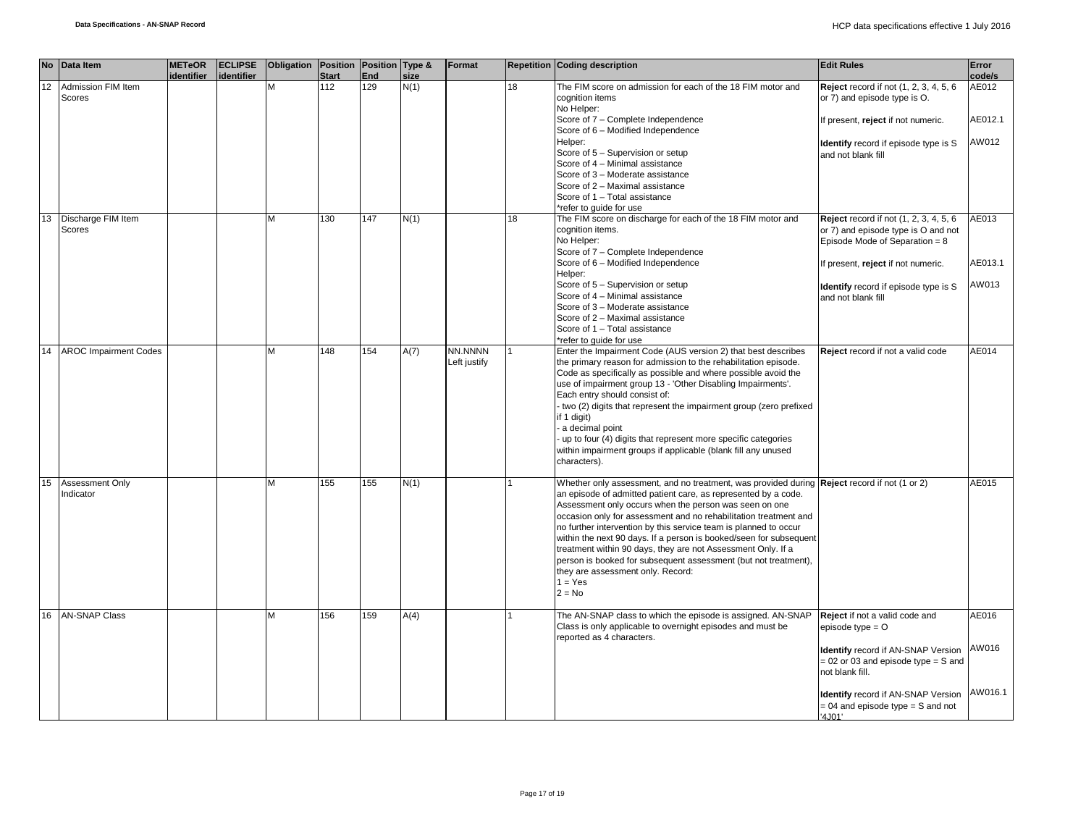|    | No Data Item                        | <b>METeOR</b><br>identifier | <b>ECLIPSE</b><br>identifier | Obligation   Position   Position   Type & | <b>Start</b> | End | size | Format                  |    | <b>Repetition Coding description</b>                                                                                                                                  | <b>Edit Rules</b>                                                                    | Error<br>code/s |
|----|-------------------------------------|-----------------------------|------------------------------|-------------------------------------------|--------------|-----|------|-------------------------|----|-----------------------------------------------------------------------------------------------------------------------------------------------------------------------|--------------------------------------------------------------------------------------|-----------------|
| 12 | Admission FIM Item<br>Scores        |                             |                              | M                                         | 112          | 129 | N(1) |                         | 18 | The FIM score on admission for each of the 18 FIM motor and<br>cognition items<br>No Helper:                                                                          | <b>Reject</b> record if not $(1, 2, 3, 4, 5, 6)$<br>or 7) and episode type is O.     | AE012           |
|    |                                     |                             |                              |                                           |              |     |      |                         |    | Score of 7 - Complete Independence<br>Score of 6 - Modified Independence                                                                                              | If present, reject if not numeric.                                                   | AE012.1         |
|    |                                     |                             |                              |                                           |              |     |      |                         |    | Helper:<br>Score of 5 - Supervision or setup                                                                                                                          | <b>Identify</b> record if episode type is S<br>and not blank fill                    | AW012           |
|    |                                     |                             |                              |                                           |              |     |      |                         |    | Score of 4 - Minimal assistance<br>Score of 3 - Moderate assistance                                                                                                   |                                                                                      |                 |
|    |                                     |                             |                              |                                           |              |     |      |                         |    | Score of 2 - Maximal assistance<br>Score of 1 - Total assistance                                                                                                      |                                                                                      |                 |
| 13 | Discharge FIM Item                  |                             |                              | м                                         | 130          | 147 | N(1) |                         | 18 | *refer to quide for use<br>The FIM score on discharge for each of the 18 FIM motor and                                                                                | <b>Reject</b> record if not (1, 2, 3, 4, 5, 6)                                       | AE013           |
|    | Scores                              |                             |                              |                                           |              |     |      |                         |    | cognition items.<br>No Helper:                                                                                                                                        | or 7) and episode type is O and not<br>Episode Mode of Separation = 8                |                 |
|    |                                     |                             |                              |                                           |              |     |      |                         |    | Score of 7 - Complete Independence                                                                                                                                    |                                                                                      | AE013.1         |
|    |                                     |                             |                              |                                           |              |     |      |                         |    | Score of 6 - Modified Independence<br>Helper:                                                                                                                         | If present, reject if not numeric.                                                   |                 |
|    |                                     |                             |                              |                                           |              |     |      |                         |    | Score of 5 - Supervision or setup<br>Score of 4 - Minimal assistance                                                                                                  | Identify record if episode type is S<br>and not blank fill                           | AW013           |
|    |                                     |                             |                              |                                           |              |     |      |                         |    | Score of 3 - Moderate assistance<br>Score of 2 - Maximal assistance                                                                                                   |                                                                                      |                 |
|    |                                     |                             |                              |                                           |              |     |      |                         |    | Score of 1 - Total assistance<br>*refer to quide for use                                                                                                              |                                                                                      |                 |
| 14 | <b>AROC Impairment Codes</b>        |                             |                              | M                                         | 148          | 154 | A(7) | NN.NNNN<br>Left justify |    | Enter the Impairment Code (AUS version 2) that best describes<br>the primary reason for admission to the rehabilitation episode.                                      | Reject record if not a valid code                                                    | AE014           |
|    |                                     |                             |                              |                                           |              |     |      |                         |    | Code as specifically as possible and where possible avoid the<br>use of impairment group 13 - 'Other Disabling Impairments'.                                          |                                                                                      |                 |
|    |                                     |                             |                              |                                           |              |     |      |                         |    | Each entry should consist of:<br>two (2) digits that represent the impairment group (zero prefixed                                                                    |                                                                                      |                 |
|    |                                     |                             |                              |                                           |              |     |      |                         |    | if 1 digit)<br>a decimal point                                                                                                                                        |                                                                                      |                 |
|    |                                     |                             |                              |                                           |              |     |      |                         |    | up to four (4) digits that represent more specific categories<br>within impairment groups if applicable (blank fill any unused                                        |                                                                                      |                 |
|    |                                     |                             |                              |                                           |              |     |      |                         |    | characters).                                                                                                                                                          |                                                                                      |                 |
| 15 | <b>Assessment Only</b><br>Indicator |                             |                              | М                                         | 155          | 155 | N(1) |                         |    | Whether only assessment, and no treatment, was provided during <b>Reject</b> record if not (1 or 2)<br>an episode of admitted patient care, as represented by a code. |                                                                                      | AE015           |
|    |                                     |                             |                              |                                           |              |     |      |                         |    | Assessment only occurs when the person was seen on one<br>occasion only for assessment and no rehabilitation treatment and                                            |                                                                                      |                 |
|    |                                     |                             |                              |                                           |              |     |      |                         |    | no further intervention by this service team is planned to occur<br>within the next 90 days. If a person is booked/seen for subsequent                                |                                                                                      |                 |
|    |                                     |                             |                              |                                           |              |     |      |                         |    | treatment within 90 days, they are not Assessment Only. If a<br>person is booked for subsequent assessment (but not treatment),                                       |                                                                                      |                 |
|    |                                     |                             |                              |                                           |              |     |      |                         |    | they are assessment only. Record:<br>$1 = Yes$                                                                                                                        |                                                                                      |                 |
|    |                                     |                             |                              |                                           |              |     |      |                         |    | $2 = No$                                                                                                                                                              |                                                                                      |                 |
| 16 | <b>AN-SNAP Class</b>                |                             |                              | M                                         | 156          | 159 | A(4) |                         |    | The AN-SNAP class to which the episode is assigned. AN-SNAP<br>Class is only applicable to overnight episodes and must be                                             | Reject if not a valid code and<br>episode type $=$ $O$                               | AE016           |
|    |                                     |                             |                              |                                           |              |     |      |                         |    | reported as 4 characters.                                                                                                                                             |                                                                                      |                 |
|    |                                     |                             |                              |                                           |              |     |      |                         |    |                                                                                                                                                                       | <b>Identify</b> record if AN-SNAP Version<br>$= 02$ or 03 and episode type $= S$ and | AW016           |
|    |                                     |                             |                              |                                           |              |     |      |                         |    |                                                                                                                                                                       | not blank fill.                                                                      |                 |
|    |                                     |                             |                              |                                           |              |     |      |                         |    |                                                                                                                                                                       | <b>Identify</b> record if AN-SNAP Version<br>$= 04$ and episode type $= S$ and not   | AW016.1         |
|    |                                     |                             |                              |                                           |              |     |      |                         |    |                                                                                                                                                                       | '4J01'                                                                               |                 |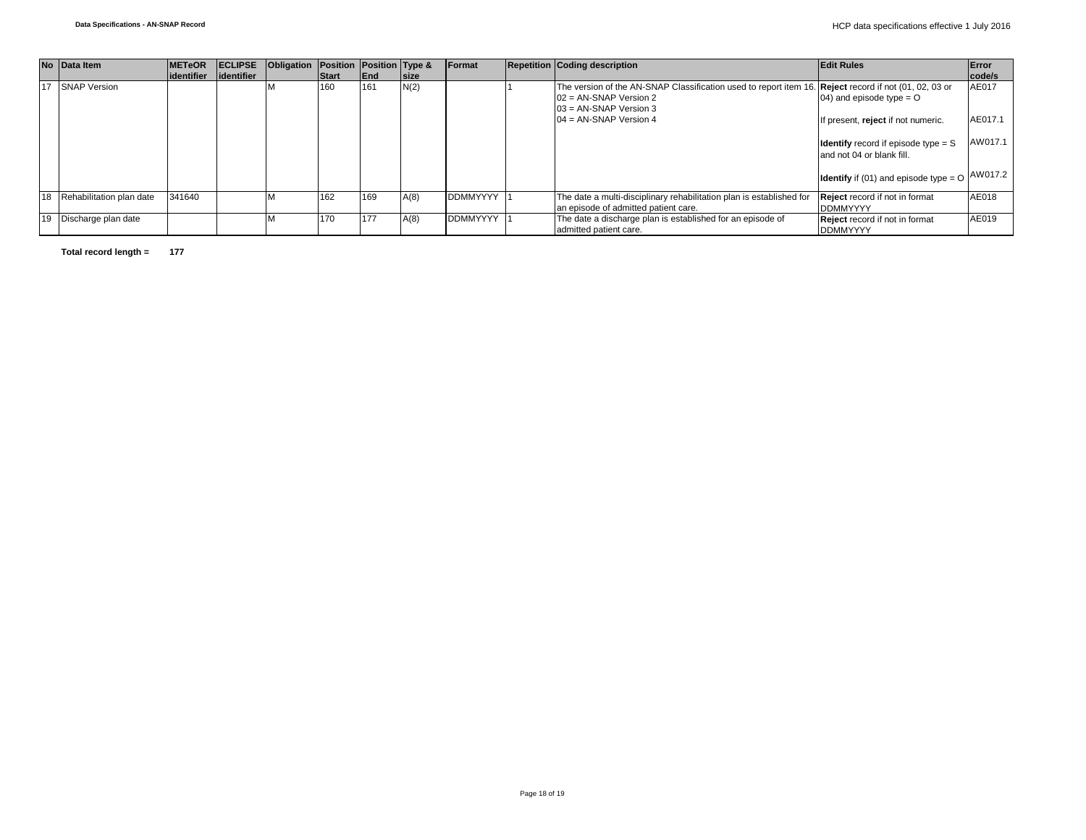| No Data Item                | <b>METeOR</b> | <b>ECLIPSE</b> | Obligation Position Position Type & |       |      |             | Format          | <b>Repetition Coding description</b>                                                                                                                          | <b>Edit Rules</b>                                                         | Error   |
|-----------------------------|---------------|----------------|-------------------------------------|-------|------|-------------|-----------------|---------------------------------------------------------------------------------------------------------------------------------------------------------------|---------------------------------------------------------------------------|---------|
|                             | lidentifier   | lidentifier    |                                     | Start | End  | <b>size</b> |                 |                                                                                                                                                               |                                                                           | code/s  |
| 17 SNAP Version             |               |                |                                     | 160   | 161  | N(2)        |                 | The version of the AN-SNAP Classification used to report item 16. Reject record if not (01, 02, 03 or<br>$02 = AN-SNAP$ Version 2<br>$03 = AN-SNAP$ Version 3 | 04) and episode type = $O$                                                | AE017   |
|                             |               |                |                                     |       |      |             |                 | $04 = AN-SNAP$ Version 4                                                                                                                                      | If present, reject if not numeric.                                        | AE017.1 |
|                             |               |                |                                     |       |      |             |                 |                                                                                                                                                               | <b>Identify</b> record if episode type $=$ S<br>and not 04 or blank fill. | AW017.1 |
|                             |               |                |                                     |       |      |             |                 |                                                                                                                                                               | <b>Identify</b> if (01) and episode type $=$ O                            | AW017.2 |
| 18 Rehabilitation plan date | 341640        |                |                                     | 162   | 169  | A(8)        | <b>DDMMYYYY</b> | The date a multi-disciplinary rehabilitation plan is established for<br>an episode of admitted patient care.                                                  | <b>Reject</b> record if not in format<br><b>DDMMYYYY</b>                  | AE018   |
| 19 Discharge plan date      |               |                |                                     | 170   | 1177 | A(8)        | <b>DDMMYYYY</b> | The date a discharge plan is established for an episode of<br>admitted patient care.                                                                          | Reject record if not in format<br><b>DDMMYYYY</b>                         | AE019   |

**Total record length = 177**